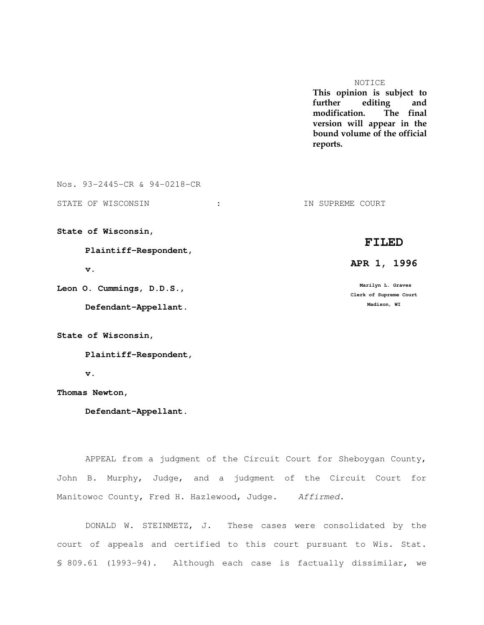### NOTICE

This opinion is subject to further editing and modification. The final version will appear in the bound volume of the official reports.

Nos. 93-2445-CR & 94-0218-CR

STATE OF WISCONSIN : THE SUPPLEME COURT : THE SUPPLEME COURT

**State of Wisconsin,** 

 **Plaintiff-Respondent,** 

 **v.** 

**Leon O. Cummings, D.D.S.,** 

 **Defendant-Appellant.**

**State of Wisconsin,** 

 **Plaintiff-Respondent,** 

 **v.** 

**Thomas Newton,** 

 **Defendant-Appellant.**

 APPEAL from a judgment of the Circuit Court for Sheboygan County, John B. Murphy, Judge, and a judgment of the Circuit Court for Manitowoc County, Fred H. Hazlewood, Judge. Affirmed.

 DONALD W. STEINMETZ, J. These cases were consolidated by the court of appeals and certified to this court pursuant to Wis. Stat. § 809.61 (1993-94). Although each case is factually dissimilar, we

# **FILED**

 **APR 1, 1996**

 **Marilyn L. Graves Clerk of Supreme Court Madison, WI**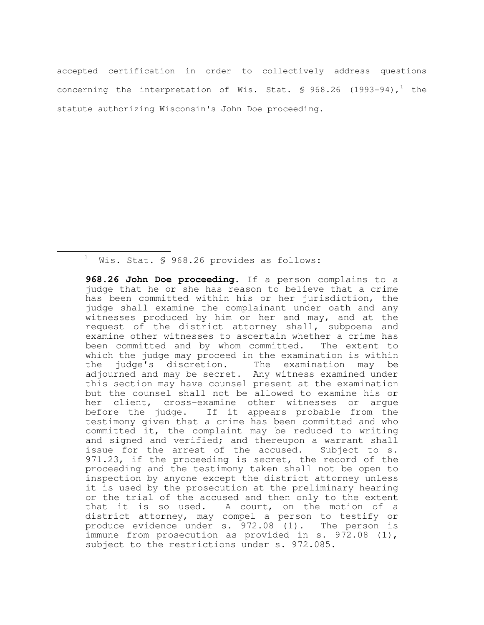accepted certification in order to collectively address questions concerning the interpretation of Wis. Stat.  $\frac{6}{5}$  968.26 (1993-94),<sup>1</sup> the statute authorizing Wisconsin's John Doe proceeding.

 $^{\text{\tiny{\textup{1}}}}$  Wis. Stat. § 968.26 provides as follows:

e<br>S

 **968.26 John Doe proceeding.** If a person complains to a judge that he or she has reason to believe that a crime has been committed within his or her jurisdiction, the judge shall examine the complainant under oath and any witnesses produced by him or her and may, and at the request of the district attorney shall, subpoena and examine other witnesses to ascertain whether a crime has been committed and by whom committed. The extent to which the judge may proceed in the examination is within the judge's discretion. The examination may be adjourned and may be secret. Any witness examined under this section may have counsel present at the examination but the counsel shall not be allowed to examine his or her client, cross-examine other witnesses or argue before the judge. If it appears probable from the testimony given that a crime has been committed and who committed it, the complaint may be reduced to writing and signed and verified; and thereupon a warrant shall issue for the arrest of the accused. Subject to s. 971.23, if the proceeding is secret, the record of the proceeding and the testimony taken shall not be open to inspection by anyone except the district attorney unless it is used by the prosecution at the preliminary hearing or the trial of the accused and then only to the extent that it is so used. A court, on the motion of a district attorney, may compel a person to testify or produce evidence under s. 972.08 (1). The person is immune from prosecution as provided in s. 972.08 (1), subject to the restrictions under s. 972.085.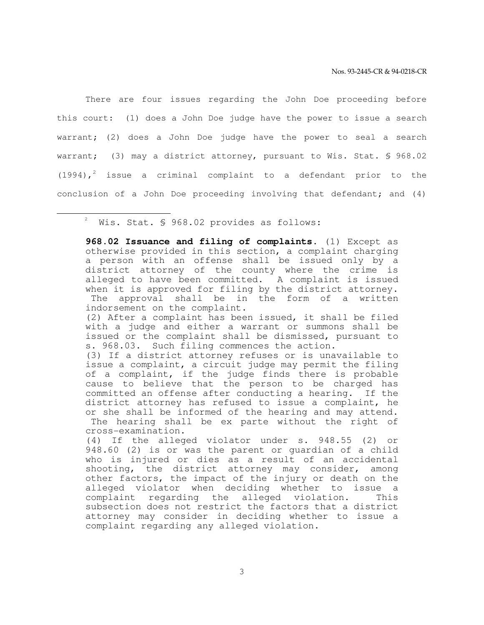There are four issues regarding the John Doe proceeding before this court: (1) does a John Doe judge have the power to issue a search warrant; (2) does a John Doe judge have the power to seal a search warrant; (3) may a district attorney, pursuant to Wis. Stat. § 968.02  $(1994)$ ,<sup>2</sup> issue a criminal complaint to a defendant prior to the conclusion of a John Doe proceeding involving that defendant; and (4)

2 Wis. Stat. § 968.02 provides as follows:

e<br>S

 **968.02 Issuance and filing of complaints.** (1) Except as otherwise provided in this section, a complaint charging a person with an offense shall be issued only by a district attorney of the county where the crime is alleged to have been committed. A complaint is issued when it is approved for filing by the district attorney. The approval shall be in the form of a written indorsement on the complaint. (2) After a complaint has been issued, it shall be filed with a judge and either a warrant or summons shall be issued or the complaint shall be dismissed, pursuant to s. 968.03. Such filing commences the action. (3) If a district attorney refuses or is unavailable to issue a complaint, a circuit judge may permit the filing of a complaint, if the judge finds there is probable cause to believe that the person to be charged has committed an offense after conducting a hearing. If the

district attorney has refused to issue a complaint, he or she shall be informed of the hearing and may attend. The hearing shall be ex parte without the right of cross-examination.

 (4) If the alleged violator under s. 948.55 (2) or 948.60 (2) is or was the parent or guardian of a child who is injured or dies as a result of an accidental shooting, the district attorney may consider, among other factors, the impact of the injury or death on the alleged violator when deciding whether to issue a complaint regarding the alleged violation. This subsection does not restrict the factors that a district attorney may consider in deciding whether to issue a complaint regarding any alleged violation.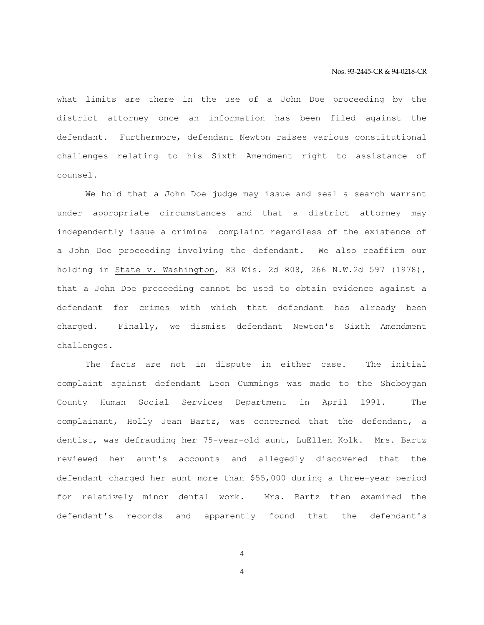what limits are there in the use of a John Doe proceeding by the district attorney once an information has been filed against the defendant. Furthermore, defendant Newton raises various constitutional challenges relating to his Sixth Amendment right to assistance of counsel.

 We hold that a John Doe judge may issue and seal a search warrant under appropriate circumstances and that a district attorney may independently issue a criminal complaint regardless of the existence of a John Doe proceeding involving the defendant. We also reaffirm our holding in State v. Washington, 83 Wis. 2d 808, 266 N.W.2d 597 (1978), that a John Doe proceeding cannot be used to obtain evidence against a defendant for crimes with which that defendant has already been charged. Finally, we dismiss defendant Newton's Sixth Amendment challenges.

 The facts are not in dispute in either case. The initial complaint against defendant Leon Cummings was made to the Sheboygan County Human Social Services Department in April 1991. The complainant, Holly Jean Bartz, was concerned that the defendant, a dentist, was defrauding her 75-year-old aunt, LuEllen Kolk. Mrs. Bartz reviewed her aunt's accounts and allegedly discovered that the defendant charged her aunt more than \$55,000 during a three-year period for relatively minor dental work. Mrs. Bartz then examined the defendant's records and apparently found that the defendant's

4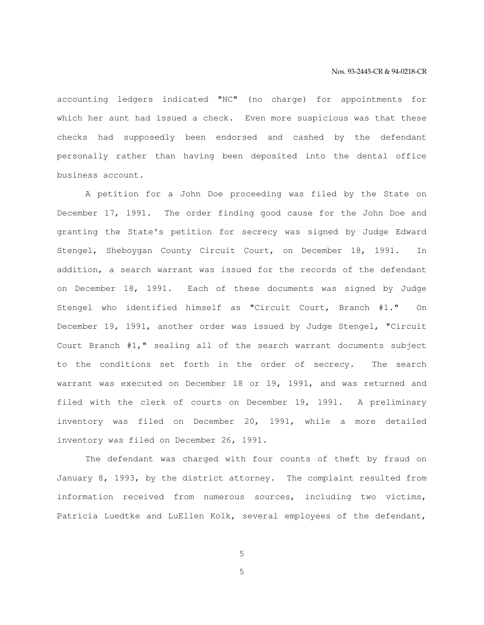accounting ledgers indicated "NC" (no charge) for appointments for which her aunt had issued a check. Even more suspicious was that these checks had supposedly been endorsed and cashed by the defendant personally rather than having been deposited into the dental office business account.

 A petition for a John Doe proceeding was filed by the State on December 17, 1991. The order finding good cause for the John Doe and granting the State's petition for secrecy was signed by Judge Edward Stengel, Sheboygan County Circuit Court, on December 18, 1991. In addition, a search warrant was issued for the records of the defendant on December 18, 1991. Each of these documents was signed by Judge Stengel who identified himself as "Circuit Court, Branch #1." On December 19, 1991, another order was issued by Judge Stengel, "Circuit Court Branch #1," sealing all of the search warrant documents subject to the conditions set forth in the order of secrecy. The search warrant was executed on December 18 or 19, 1991, and was returned and filed with the clerk of courts on December 19, 1991. A preliminary inventory was filed on December 20, 1991, while a more detailed inventory was filed on December 26, 1991.

 The defendant was charged with four counts of theft by fraud on January 8, 1993, by the district attorney. The complaint resulted from information received from numerous sources, including two victims, Patricia Luedtke and LuEllen Kolk, several employees of the defendant,

5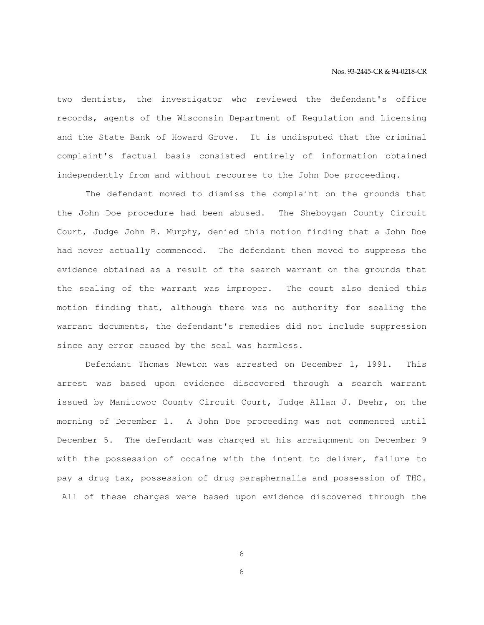two dentists, the investigator who reviewed the defendant's office records, agents of the Wisconsin Department of Regulation and Licensing and the State Bank of Howard Grove. It is undisputed that the criminal complaint's factual basis consisted entirely of information obtained independently from and without recourse to the John Doe proceeding.

 The defendant moved to dismiss the complaint on the grounds that the John Doe procedure had been abused. The Sheboygan County Circuit Court, Judge John B. Murphy, denied this motion finding that a John Doe had never actually commenced. The defendant then moved to suppress the evidence obtained as a result of the search warrant on the grounds that the sealing of the warrant was improper. The court also denied this motion finding that, although there was no authority for sealing the warrant documents, the defendant's remedies did not include suppression since any error caused by the seal was harmless.

 Defendant Thomas Newton was arrested on December 1, 1991. This arrest was based upon evidence discovered through a search warrant issued by Manitowoc County Circuit Court, Judge Allan J. Deehr, on the morning of December 1. A John Doe proceeding was not commenced until December 5. The defendant was charged at his arraignment on December 9 with the possession of cocaine with the intent to deliver, failure to pay a drug tax, possession of drug paraphernalia and possession of THC. All of these charges were based upon evidence discovered through the

6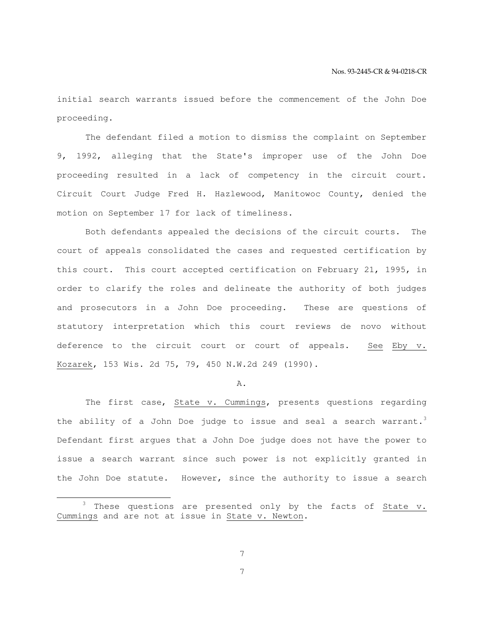initial search warrants issued before the commencement of the John Doe proceeding.

 The defendant filed a motion to dismiss the complaint on September 9, 1992, alleging that the State's improper use of the John Doe proceeding resulted in a lack of competency in the circuit court. Circuit Court Judge Fred H. Hazlewood, Manitowoc County, denied the motion on September 17 for lack of timeliness.

 Both defendants appealed the decisions of the circuit courts. The court of appeals consolidated the cases and requested certification by this court. This court accepted certification on February 21, 1995, in order to clarify the roles and delineate the authority of both judges and prosecutors in a John Doe proceeding. These are questions of statutory interpretation which this court reviews de novo without deference to the circuit court or court of appeals. See Eby v. Kozarek, 153 Wis. 2d 75, 79, 450 N.W.2d 249 (1990).

#### A.

 The first case, State v. Cummings, presents questions regarding the ability of a John Doe judge to issue and seal a search warrant.<sup>3</sup> Defendant first argues that a John Doe judge does not have the power to issue a search warrant since such power is not explicitly granted in the John Doe statute. However, since the authority to issue a search

e<br>S

These questions are presented only by the facts of State v. Cummings and are not at issue in State v. Newton.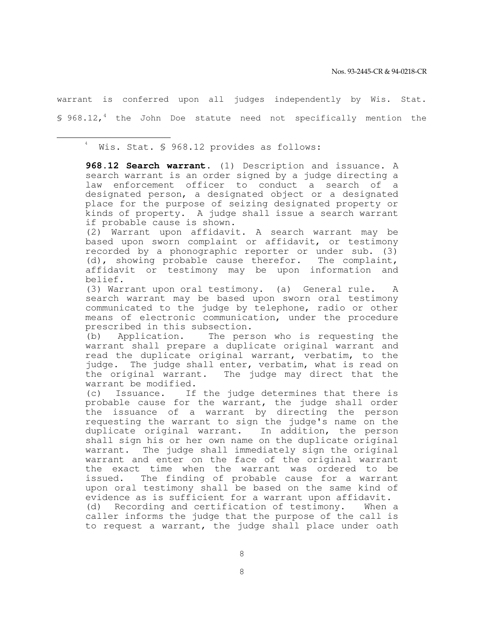warrant is conferred upon all judges independently by Wis. Stat. § 968.12,<sup>4</sup> the John Doe statute need not specifically mention the

4 Wis. Stat. § 968.12 provides as follows:

e<br>S

 **968.12 Search warrant.** (1) Description and issuance. A search warrant is an order signed by a judge directing a law enforcement officer to conduct a search of a designated person, a designated object or a designated place for the purpose of seizing designated property or kinds of property. A judge shall issue a search warrant if probable cause is shown.

 (2) Warrant upon affidavit. A search warrant may be based upon sworn complaint or affidavit, or testimony recorded by a phonographic reporter or under sub. (3) (d), showing probable cause therefor. The complaint, affidavit or testimony may be upon information and belief.

 (3) Warrant upon oral testimony. (a) General rule. A search warrant may be based upon sworn oral testimony communicated to the judge by telephone, radio or other means of electronic communication, under the procedure prescribed in this subsection.

 (b) Application. The person who is requesting the warrant shall prepare a duplicate original warrant and read the duplicate original warrant, verbatim, to the judge. The judge shall enter, verbatim, what is read on the original warrant. The judge may direct that the warrant be modified.

 (c) Issuance. If the judge determines that there is probable cause for the warrant, the judge shall order the issuance of a warrant by directing the person requesting the warrant to sign the judge's name on the duplicate original warrant. In addition, the person shall sign his or her own name on the duplicate original warrant. The judge shall immediately sign the original warrant and enter on the face of the original warrant the exact time when the warrant was ordered to be issued. The finding of probable cause for a warrant upon oral testimony shall be based on the same kind of evidence as is sufficient for a warrant upon affidavit. (d) Recording and certification of testimony. When a caller informs the judge that the purpose of the call is to request a warrant, the judge shall place under oath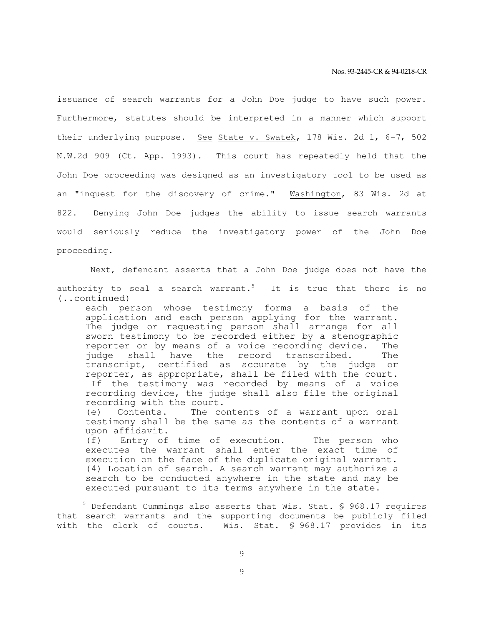issuance of search warrants for a John Doe judge to have such power. Furthermore, statutes should be interpreted in a manner which support their underlying purpose. See State v. Swatek, 178 Wis. 2d 1, 6-7, 502 N.W.2d 909 (Ct. App. 1993). This court has repeatedly held that the John Doe proceeding was designed as an investigatory tool to be used as an "inquest for the discovery of crime." Washington, 83 Wis. 2d at 822. Denying John Doe judges the ability to issue search warrants would seriously reduce the investigatory power of the John Doe proceeding.

 Next, defendant asserts that a John Doe judge does not have the authority to seal a search warrant.<sup>5</sup> It is true that there is no (..continued)

each person whose testimony forms a basis of the application and each person applying for the warrant. The judge or requesting person shall arrange for all sworn testimony to be recorded either by a stenographic reporter or by means of a voice recording device. The judge shall have the record transcribed. The transcript, certified as accurate by the judge or reporter, as appropriate, shall be filed with the court. If the testimony was recorded by means of a voice recording device, the judge shall also file the original recording with the court. (e) Contents. The contents of a warrant upon oral

testimony shall be the same as the contents of a warrant upon affidavit.

 (f) Entry of time of execution. The person who executes the warrant shall enter the exact time of execution on the face of the duplicate original warrant. (4) Location of search. A search warrant may authorize a search to be conducted anywhere in the state and may be executed pursuant to its terms anywhere in the state.

 $5$  Defendant Cummings also asserts that Wis. Stat. § 968.17 requires that search warrants and the supporting documents be publicly filed with the clerk of courts. Wis. Stat. § 968.17 provides in its

9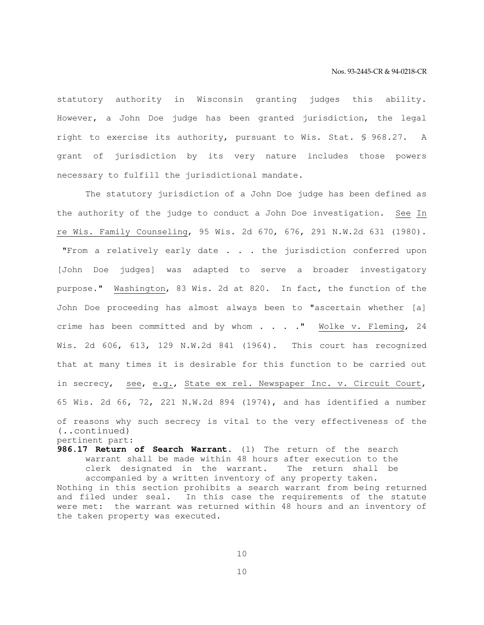statutory authority in Wisconsin granting judges this ability. However, a John Doe judge has been granted jurisdiction, the legal right to exercise its authority, pursuant to Wis. Stat. § 968.27. A grant of jurisdiction by its very nature includes those powers necessary to fulfill the jurisdictional mandate.

 The statutory jurisdiction of a John Doe judge has been defined as the authority of the judge to conduct a John Doe investigation. See In re Wis. Family Counseling, 95 Wis. 2d 670, 676, 291 N.W.2d 631 (1980). "From a relatively early date . . . the jurisdiction conferred upon [John Doe judges] was adapted to serve a broader investigatory purpose." Washington, 83 Wis. 2d at 820. In fact, the function of the John Doe proceeding has almost always been to "ascertain whether [a] crime has been committed and by whom . . . ." Wolke v. Fleming, 24 Wis. 2d 606, 613, 129 N.W.2d 841 (1964). This court has recognized that at many times it is desirable for this function to be carried out in secrecy, see, e.g., State ex rel. Newspaper Inc. v. Circuit Court, 65 Wis. 2d 66, 72, 221 N.W.2d 894 (1974), and has identified a number of reasons why such secrecy is vital to the very effectiveness of the (..continued) pertinent part:

**986.17 Return of Search Warrant.** (1) The return of the search warrant shall be made within 48 hours after execution to the clerk designated in the warrant. The return shall be accompanied by a written inventory of any property taken. Nothing in this section prohibits a search warrant from being returned and filed under seal. In this case the requirements of the statute were met: the warrant was returned within 48 hours and an inventory of the taken property was executed.

10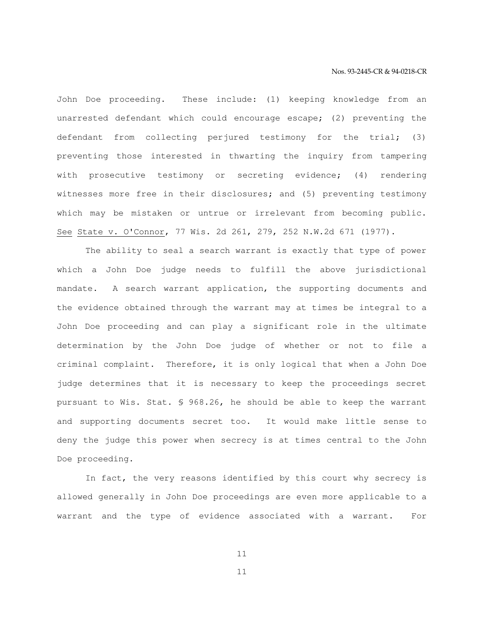John Doe proceeding. These include: (1) keeping knowledge from an unarrested defendant which could encourage escape; (2) preventing the defendant from collecting perjured testimony for the trial; (3) preventing those interested in thwarting the inquiry from tampering with prosecutive testimony or secreting evidence; (4) rendering witnesses more free in their disclosures; and (5) preventing testimony which may be mistaken or untrue or irrelevant from becoming public. See State v. O'Connor, 77 Wis. 2d 261, 279, 252 N.W.2d 671 (1977).

 The ability to seal a search warrant is exactly that type of power which a John Doe judge needs to fulfill the above jurisdictional mandate. A search warrant application, the supporting documents and the evidence obtained through the warrant may at times be integral to a John Doe proceeding and can play a significant role in the ultimate determination by the John Doe judge of whether or not to file a criminal complaint. Therefore, it is only logical that when a John Doe judge determines that it is necessary to keep the proceedings secret pursuant to Wis. Stat. § 968.26, he should be able to keep the warrant and supporting documents secret too. It would make little sense to deny the judge this power when secrecy is at times central to the John Doe proceeding.

 In fact, the very reasons identified by this court why secrecy is allowed generally in John Doe proceedings are even more applicable to a warrant and the type of evidence associated with a warrant. For

11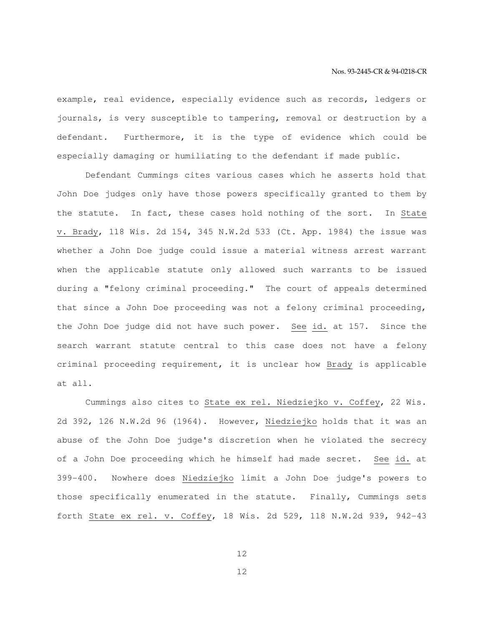example, real evidence, especially evidence such as records, ledgers or journals, is very susceptible to tampering, removal or destruction by a defendant. Furthermore, it is the type of evidence which could be especially damaging or humiliating to the defendant if made public.

 Defendant Cummings cites various cases which he asserts hold that John Doe judges only have those powers specifically granted to them by the statute. In fact, these cases hold nothing of the sort. In State v. Brady, 118 Wis. 2d 154, 345 N.W.2d 533 (Ct. App. 1984) the issue was whether a John Doe judge could issue a material witness arrest warrant when the applicable statute only allowed such warrants to be issued during a "felony criminal proceeding." The court of appeals determined that since a John Doe proceeding was not a felony criminal proceeding, the John Doe judge did not have such power. See id. at 157. Since the search warrant statute central to this case does not have a felony criminal proceeding requirement, it is unclear how Brady is applicable at all.

 Cummings also cites to State ex rel. Niedziejko v. Coffey, 22 Wis. 2d 392, 126 N.W.2d 96 (1964). However, Niedziejko holds that it was an abuse of the John Doe judge's discretion when he violated the secrecy of a John Doe proceeding which he himself had made secret. See id. at 399-400. Nowhere does Niedziejko limit a John Doe judge's powers to those specifically enumerated in the statute. Finally, Cummings sets forth State ex rel. v. Coffey, 18 Wis. 2d 529, 118 N.W.2d 939, 942-43

12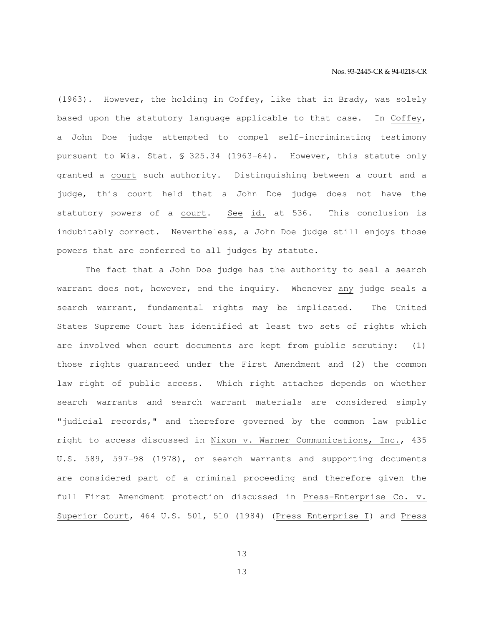(1963). However, the holding in Coffey, like that in Brady, was solely based upon the statutory language applicable to that case. In Coffey, a John Doe judge attempted to compel self-incriminating testimony pursuant to Wis. Stat. § 325.34 (1963-64). However, this statute only granted a court such authority. Distinguishing between a court and a judge, this court held that a John Doe judge does not have the statutory powers of a court. See id. at 536. This conclusion is indubitably correct. Nevertheless, a John Doe judge still enjoys those powers that are conferred to all judges by statute.

 The fact that a John Doe judge has the authority to seal a search warrant does not, however, end the inquiry. Whenever any judge seals a search warrant, fundamental rights may be implicated. The United States Supreme Court has identified at least two sets of rights which are involved when court documents are kept from public scrutiny: (1) those rights guaranteed under the First Amendment and (2) the common law right of public access. Which right attaches depends on whether search warrants and search warrant materials are considered simply "judicial records," and therefore governed by the common law public right to access discussed in Nixon v. Warner Communications, Inc., 435 U.S. 589, 597-98 (1978), or search warrants and supporting documents are considered part of a criminal proceeding and therefore given the full First Amendment protection discussed in Press-Enterprise Co. v. Superior Court, 464 U.S. 501, 510 (1984) (Press Enterprise I) and Press

13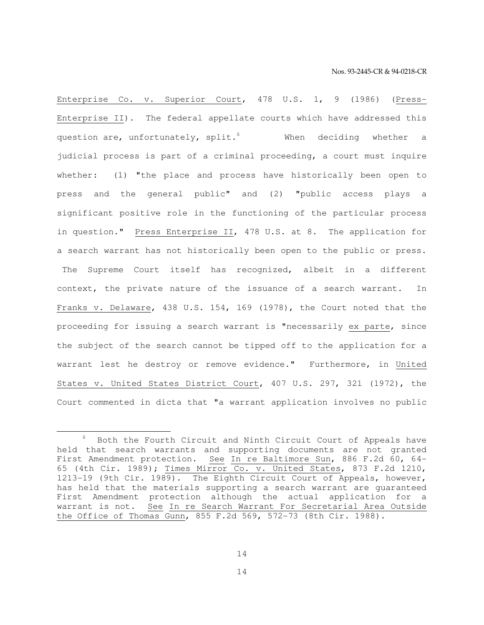Enterprise Co. v. Superior Court, 478 U.S. 1, 9 (1986) (Press-Enterprise II). The federal appellate courts which have addressed this question are, unfortunately, split.<sup>6</sup> When deciding whether a judicial process is part of a criminal proceeding, a court must inquire whether: (1) "the place and process have historically been open to press and the general public" and (2) "public access plays a significant positive role in the functioning of the particular process in question." Press Enterprise II, 478 U.S. at 8. The application for a search warrant has not historically been open to the public or press. The Supreme Court itself has recognized, albeit in a different context, the private nature of the issuance of a search warrant. In Franks v. Delaware, 438 U.S. 154, 169 (1978), the Court noted that the proceeding for issuing a search warrant is "necessarily ex parte, since the subject of the search cannot be tipped off to the application for a warrant lest he destroy or remove evidence." Furthermore, in United States v. United States District Court, 407 U.S. 297, 321 (1972), the Court commented in dicta that "a warrant application involves no public

e<br>S

<sup>6</sup> Both the Fourth Circuit and Ninth Circuit Court of Appeals have held that search warrants and supporting documents are not granted First Amendment protection. See In re Baltimore Sun, 886 F.2d 60, 64- 65 (4th Cir. 1989); Times Mirror Co. v. United States, 873 F.2d 1210, 1213-19 (9th Cir. 1989). The Eighth Circuit Court of Appeals, however, has held that the materials supporting a search warrant are guaranteed First Amendment protection although the actual application for a warrant is not. See In re Search Warrant For Secretarial Area Outside the Office of Thomas Gunn, 855 F.2d 569, 572-73 (8th Cir. 1988).

<sup>14</sup>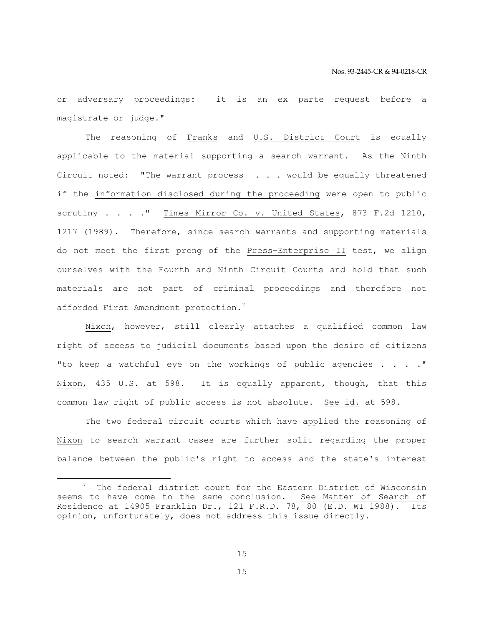or adversary proceedings: it is an ex parte request before a magistrate or judge."

 The reasoning of Franks and U.S. District Court is equally applicable to the material supporting a search warrant. As the Ninth Circuit noted: "The warrant process . . . would be equally threatened if the information disclosed during the proceeding were open to public scrutiny . . . . " Times Mirror Co. v. United States, 873 F.2d 1210, 1217 (1989). Therefore, since search warrants and supporting materials do not meet the first prong of the Press-Enterprise II test, we align ourselves with the Fourth and Ninth Circuit Courts and hold that such materials are not part of criminal proceedings and therefore not afforded First Amendment protection.<sup>7</sup>

 Nixon, however, still clearly attaches a qualified common law right of access to judicial documents based upon the desire of citizens "to keep a watchful eye on the workings of public agencies  $\ldots$ ." Nixon, 435 U.S. at 598. It is equally apparent, though, that this common law right of public access is not absolute. See id. at 598.

 The two federal circuit courts which have applied the reasoning of Nixon to search warrant cases are further split regarding the proper balance between the public's right to access and the state's interest

e<br>S

15

<sup>7</sup> The federal district court for the Eastern District of Wisconsin seems to have come to the same conclusion. See Matter of Search of Residence at 14905 Franklin Dr., 121 F.R.D. 78, 80 (E.D. WI 1988). Its opinion, unfortunately, does not address this issue directly.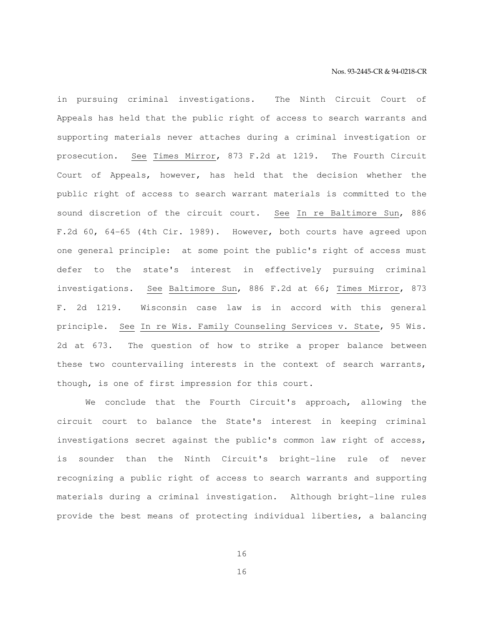in pursuing criminal investigations. The Ninth Circuit Court of Appeals has held that the public right of access to search warrants and supporting materials never attaches during a criminal investigation or prosecution. See Times Mirror, 873 F.2d at 1219. The Fourth Circuit Court of Appeals, however, has held that the decision whether the public right of access to search warrant materials is committed to the sound discretion of the circuit court. See In re Baltimore Sun, 886 F.2d 60, 64-65 (4th Cir. 1989). However, both courts have agreed upon one general principle: at some point the public's right of access must defer to the state's interest in effectively pursuing criminal investigations. See Baltimore Sun, 886 F.2d at 66; Times Mirror, 873 F. 2d 1219. Wisconsin case law is in accord with this general principle. See In re Wis. Family Counseling Services v. State, 95 Wis. 2d at 673. The question of how to strike a proper balance between these two countervailing interests in the context of search warrants, though, is one of first impression for this court.

 We conclude that the Fourth Circuit's approach, allowing the circuit court to balance the State's interest in keeping criminal investigations secret against the public's common law right of access, is sounder than the Ninth Circuit's bright-line rule of never recognizing a public right of access to search warrants and supporting materials during a criminal investigation. Although bright-line rules provide the best means of protecting individual liberties, a balancing

16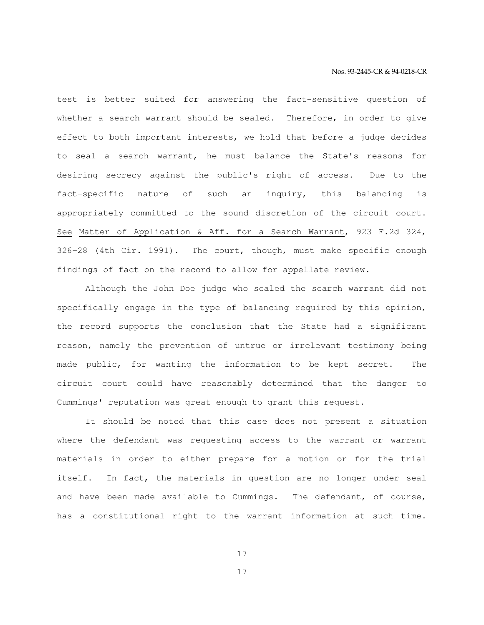test is better suited for answering the fact-sensitive question of whether a search warrant should be sealed. Therefore, in order to give effect to both important interests, we hold that before a judge decides to seal a search warrant, he must balance the State's reasons for desiring secrecy against the public's right of access. Due to the fact-specific nature of such an inquiry, this balancing is appropriately committed to the sound discretion of the circuit court. See Matter of Application & Aff. for a Search Warrant, 923 F.2d 324, 326-28 (4th Cir. 1991). The court, though, must make specific enough findings of fact on the record to allow for appellate review.

 Although the John Doe judge who sealed the search warrant did not specifically engage in the type of balancing required by this opinion, the record supports the conclusion that the State had a significant reason, namely the prevention of untrue or irrelevant testimony being made public, for wanting the information to be kept secret. The circuit court could have reasonably determined that the danger to Cummings' reputation was great enough to grant this request.

 It should be noted that this case does not present a situation where the defendant was requesting access to the warrant or warrant materials in order to either prepare for a motion or for the trial itself. In fact, the materials in question are no longer under seal and have been made available to Cummings. The defendant, of course, has a constitutional right to the warrant information at such time.

17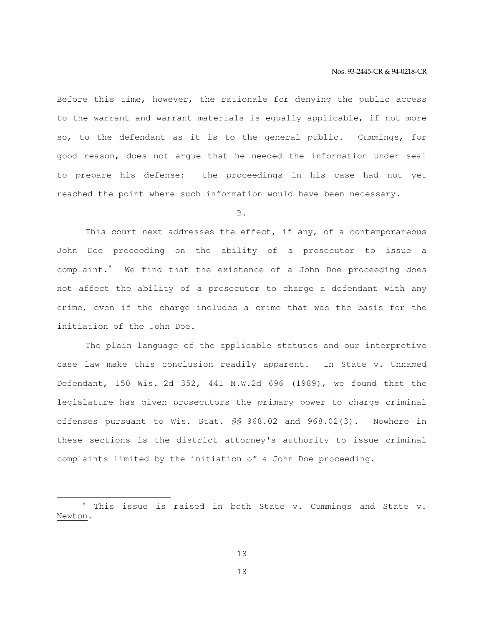Before this time, however, the rationale for denying the public access to the warrant and warrant materials is equally applicable, if not more so, to the defendant as it is to the general public. Cummings, for good reason, does not argue that he needed the information under seal to prepare his defense: the proceedings in his case had not yet reached the point where such information would have been necessary.

B.

 This court next addresses the effect, if any, of a contemporaneous John Doe proceeding on the ability of a prosecutor to issue a complaint.<sup>8</sup> We find that the existence of a John Doe proceeding does not affect the ability of a prosecutor to charge a defendant with any crime, even if the charge includes a crime that was the basis for the initiation of the John Doe.

 The plain language of the applicable statutes and our interpretive case law make this conclusion readily apparent. In State v. Unnamed Defendant, 150 Wis. 2d 352, 441 N.W.2d 696 (1989), we found that the legislature has given prosecutors the primary power to charge criminal offenses pursuant to Wis. Stat. §§ 968.02 and 968.02(3). Nowhere in these sections is the district attorney's authority to issue criminal complaints limited by the initiation of a John Doe proceeding.

e<br>S

18

<sup>&</sup>lt;sup>8</sup> This issue is raised in both State v. Cummings and State v. Newton.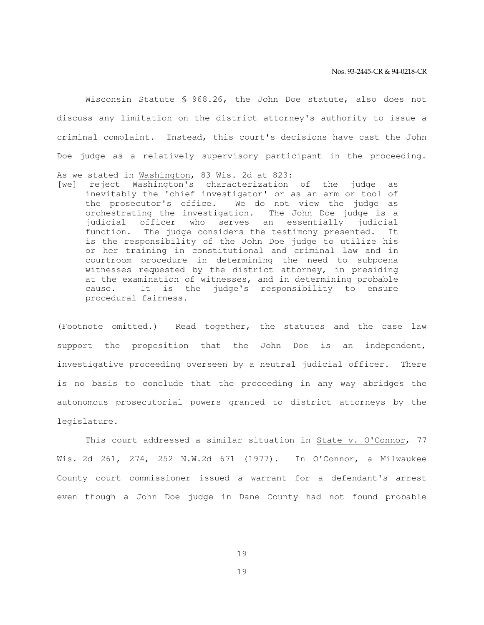Wisconsin Statute § 968.26, the John Doe statute, also does not discuss any limitation on the district attorney's authority to issue a criminal complaint. Instead, this court's decisions have cast the John Doe judge as a relatively supervisory participant in the proceeding.

- As we stated in Washington, 83 Wis. 2d at 823:
- [we] reject Washington's characterization of the judge as inevitably the 'chief investigator' or as an arm or tool of the prosecutor's office. We do not view the judge as orchestrating the investigation. The John Doe judge is a judicial officer who serves an essentially judicial function. The judge considers the testimony presented. It is the responsibility of the John Doe judge to utilize his or her training in constitutional and criminal law and in courtroom procedure in determining the need to subpoena witnesses requested by the district attorney, in presiding at the examination of witnesses, and in determining probable cause. It is the judge's responsibility to ensure procedural fairness.

(Footnote omitted.) Read together, the statutes and the case law support the proposition that the John Doe is an independent, investigative proceeding overseen by a neutral judicial officer. There is no basis to conclude that the proceeding in any way abridges the autonomous prosecutorial powers granted to district attorneys by the legislature.

 This court addressed a similar situation in State v. O'Connor, 77 Wis. 2d 261, 274, 252 N.W.2d 671 (1977). In O'Connor, a Milwaukee County court commissioner issued a warrant for a defendant's arrest even though a John Doe judge in Dane County had not found probable

19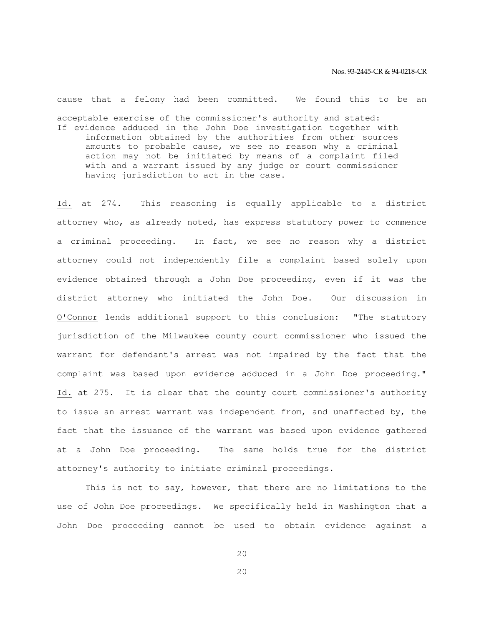cause that a felony had been committed. We found this to be an acceptable exercise of the commissioner's authority and stated: If evidence adduced in the John Doe investigation together with information obtained by the authorities from other sources amounts to probable cause, we see no reason why a criminal action may not be initiated by means of a complaint filed with and a warrant issued by any judge or court commissioner having jurisdiction to act in the case.

Id. at 274. This reasoning is equally applicable to a district attorney who, as already noted, has express statutory power to commence a criminal proceeding. In fact, we see no reason why a district attorney could not independently file a complaint based solely upon evidence obtained through a John Doe proceeding, even if it was the district attorney who initiated the John Doe. Our discussion in O'Connor lends additional support to this conclusion: "The statutory jurisdiction of the Milwaukee county court commissioner who issued the warrant for defendant's arrest was not impaired by the fact that the complaint was based upon evidence adduced in a John Doe proceeding." Id. at 275. It is clear that the county court commissioner's authority to issue an arrest warrant was independent from, and unaffected by, the fact that the issuance of the warrant was based upon evidence gathered at a John Doe proceeding. The same holds true for the district attorney's authority to initiate criminal proceedings.

 This is not to say, however, that there are no limitations to the use of John Doe proceedings. We specifically held in Washington that a John Doe proceeding cannot be used to obtain evidence against a

20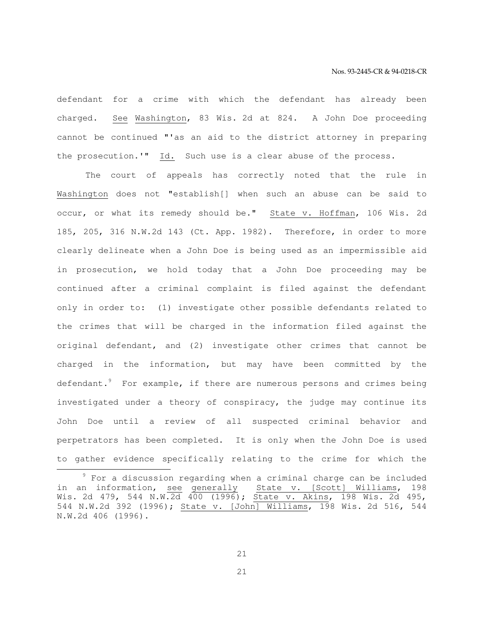defendant for a crime with which the defendant has already been charged. See Washington, 83 Wis. 2d at 824. A John Doe proceeding cannot be continued "'as an aid to the district attorney in preparing the prosecution.'" Id. Such use is a clear abuse of the process.

 The court of appeals has correctly noted that the rule in Washington does not "establish[] when such an abuse can be said to occur, or what its remedy should be." State v. Hoffman, 106 Wis. 2d 185, 205, 316 N.W.2d 143 (Ct. App. 1982). Therefore, in order to more clearly delineate when a John Doe is being used as an impermissible aid in prosecution, we hold today that a John Doe proceeding may be continued after a criminal complaint is filed against the defendant only in order to: (1) investigate other possible defendants related to the crimes that will be charged in the information filed against the original defendant, and (2) investigate other crimes that cannot be charged in the information, but may have been committed by the defendant.<sup>9</sup> For example, if there are numerous persons and crimes being investigated under a theory of conspiracy, the judge may continue its John Doe until a review of all suspected criminal behavior and perpetrators has been completed. It is only when the John Doe is used to gather evidence specifically relating to the crime for which the

e<br>S

21

 $9$  For a discussion regarding when a criminal charge can be included in an information, see generally State v. [Scott] Williams, 198 Wis. 2d 479, 544 N.W.2d 400 (1996); State v. Akins, 198 Wis. 2d 495, 544 N.W.2d 392 (1996); State v. [John] Williams, 198 Wis. 2d 516, 544 N.W.2d 406 (1996).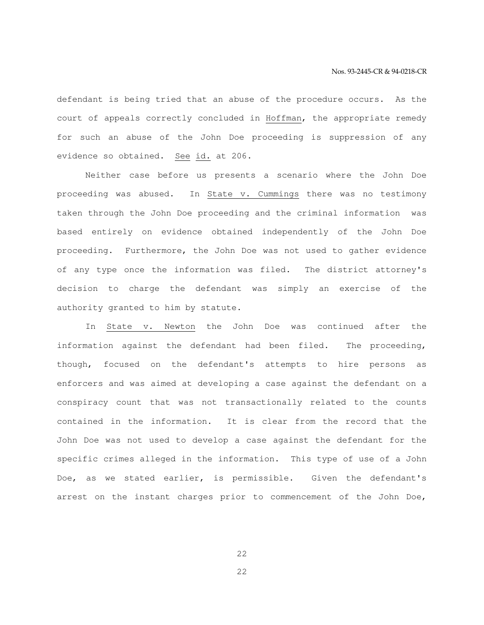defendant is being tried that an abuse of the procedure occurs. As the court of appeals correctly concluded in Hoffman, the appropriate remedy for such an abuse of the John Doe proceeding is suppression of any evidence so obtained. See id. at 206.

 Neither case before us presents a scenario where the John Doe proceeding was abused. In State v. Cummings there was no testimony taken through the John Doe proceeding and the criminal information was based entirely on evidence obtained independently of the John Doe proceeding. Furthermore, the John Doe was not used to gather evidence of any type once the information was filed. The district attorney's decision to charge the defendant was simply an exercise of the authority granted to him by statute.

 In State v. Newton the John Doe was continued after the information against the defendant had been filed. The proceeding, though, focused on the defendant's attempts to hire persons as enforcers and was aimed at developing a case against the defendant on a conspiracy count that was not transactionally related to the counts contained in the information. It is clear from the record that the John Doe was not used to develop a case against the defendant for the specific crimes alleged in the information. This type of use of a John Doe, as we stated earlier, is permissible. Given the defendant's arrest on the instant charges prior to commencement of the John Doe,

22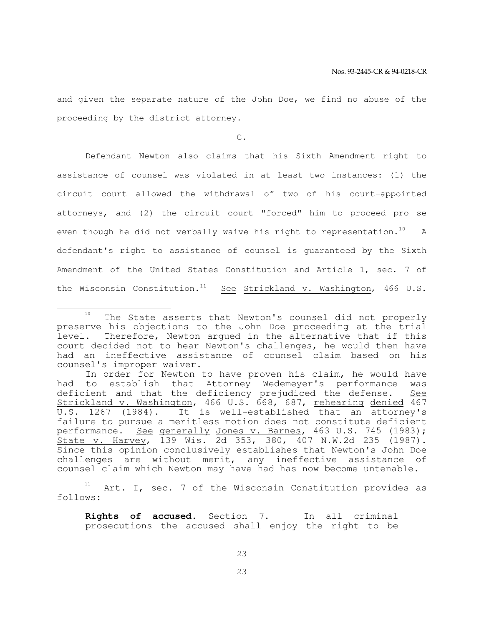and given the separate nature of the John Doe, we find no abuse of the proceeding by the district attorney.

C.

 Defendant Newton also claims that his Sixth Amendment right to assistance of counsel was violated in at least two instances: (1) the circuit court allowed the withdrawal of two of his court-appointed attorneys, and (2) the circuit court "forced" him to proceed pro se even though he did not verbally waive his right to representation.<sup>10</sup> A defendant's right to assistance of counsel is guaranteed by the Sixth Amendment of the United States Constitution and Article 1, sec. 7 of the Wisconsin Constitution.<sup>11</sup> See Strickland v. Washington, 466 U.S.

e<br>S

Art. I, sec. 7 of the Wisconsin Constitution provides as follows:

 **Rights of accused.** Section 7. In all criminal prosecutions the accused shall enjoy the right to be

<sup>&</sup>lt;sup>10</sup> The State asserts that Newton's counsel did not properly preserve his objections to the John Doe proceeding at the trial level. Therefore, Newton argued in the alternative that if this court decided not to hear Newton's challenges, he would then have had an ineffective assistance of counsel claim based on his counsel's improper waiver.

In order for Newton to have proven his claim, he would have had to establish that Attorney Wedemeyer's performance was deficient and that the deficiency prejudiced the defense. See Strickland v. Washington, 466 U.S. 668, 687, rehearing denied 467 U.S. 1267 (1984). It is well-established that an attorney's failure to pursue a meritless motion does not constitute deficient performance. See generally Jones v. Barnes, 463 U.S. 745 (1983); State v. Harvey, 139 Wis. 2d 353, 380, 407 N.W.2d 235 (1987). Since this opinion conclusively establishes that Newton's John Doe challenges are without merit, any ineffective assistance of counsel claim which Newton may have had has now become untenable.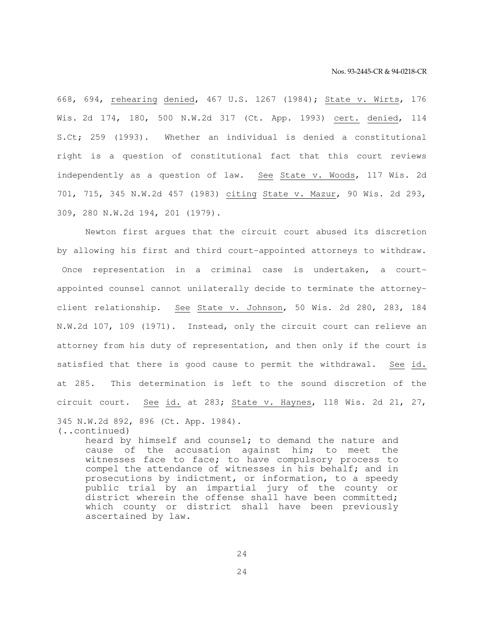668, 694, rehearing denied, 467 U.S. 1267 (1984); State v. Wirts, 176 Wis. 2d 174, 180, 500 N.W.2d 317 (Ct. App. 1993) cert. denied, 114 S.Ct; 259 (1993). Whether an individual is denied a constitutional right is a question of constitutional fact that this court reviews independently as a question of law. See State v. Woods, 117 Wis. 2d 701, 715, 345 N.W.2d 457 (1983) citing State v. Mazur, 90 Wis. 2d 293, 309, 280 N.W.2d 194, 201 (1979).

 Newton first argues that the circuit court abused its discretion by allowing his first and third court-appointed attorneys to withdraw. Once representation in a criminal case is undertaken, a courtappointed counsel cannot unilaterally decide to terminate the attorneyclient relationship. See State v. Johnson, 50 Wis. 2d 280, 283, 184 N.W.2d 107, 109 (1971). Instead, only the circuit court can relieve an attorney from his duty of representation, and then only if the court is satisfied that there is good cause to permit the withdrawal. See id. at 285. This determination is left to the sound discretion of the circuit court. See id. at 283; State v. Haynes, 118 Wis. 2d 21, 27, 345 N.W.2d 892, 896 (Ct. App. 1984). (..continued)

heard by himself and counsel; to demand the nature and cause of the accusation against him; to meet the witnesses face to face; to have compulsory process to compel the attendance of witnesses in his behalf; and in prosecutions by indictment, or information, to a speedy public trial by an impartial jury of the county or district wherein the offense shall have been committed; which county or district shall have been previously ascertained by law.

24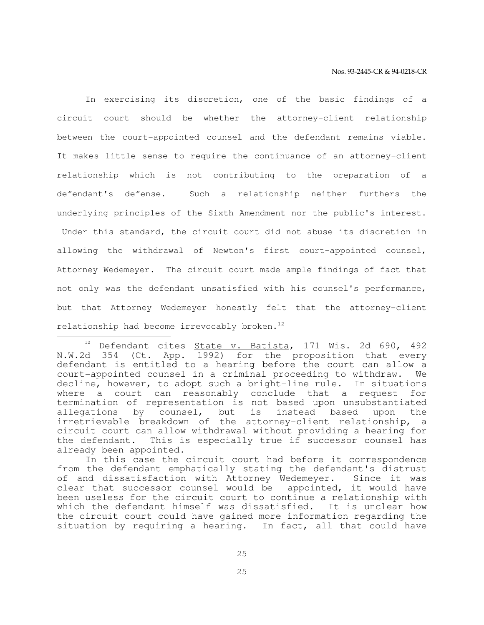In exercising its discretion, one of the basic findings of a circuit court should be whether the attorney-client relationship between the court-appointed counsel and the defendant remains viable. It makes little sense to require the continuance of an attorney-client relationship which is not contributing to the preparation of a defendant's defense. Such a relationship neither furthers the underlying principles of the Sixth Amendment nor the public's interest. Under this standard, the circuit court did not abuse its discretion in allowing the withdrawal of Newton's first court-appointed counsel, Attorney Wedemeyer. The circuit court made ample findings of fact that not only was the defendant unsatisfied with his counsel's performance, but that Attorney Wedemeyer honestly felt that the attorney-client relationship had become irrevocably broken.<sup>12</sup>

e<br>S

 $12$  Defendant cites State v. Batista, 171 Wis. 2d 690, 492 N.W.2d 354 (Ct. App. 1992) for the proposition that every defendant is entitled to a hearing before the court can allow a court-appointed counsel in a criminal proceeding to withdraw. We decline, however, to adopt such a bright-line rule. In situations where a court can reasonably conclude that a request for termination of representation is not based upon unsubstantiated allegations by counsel, but is instead based upon the irretrievable breakdown of the attorney-client relationship, a circuit court can allow withdrawal without providing a hearing for the defendant. This is especially true if successor counsel has already been appointed.

In this case the circuit court had before it correspondence from the defendant emphatically stating the defendant's distrust of and dissatisfaction with Attorney Wedemeyer. Since it was clear that successor counsel would be appointed, it would have been useless for the circuit court to continue a relationship with which the defendant himself was dissatisfied. It is unclear how the circuit court could have gained more information regarding the situation by requiring a hearing. In fact, all that could have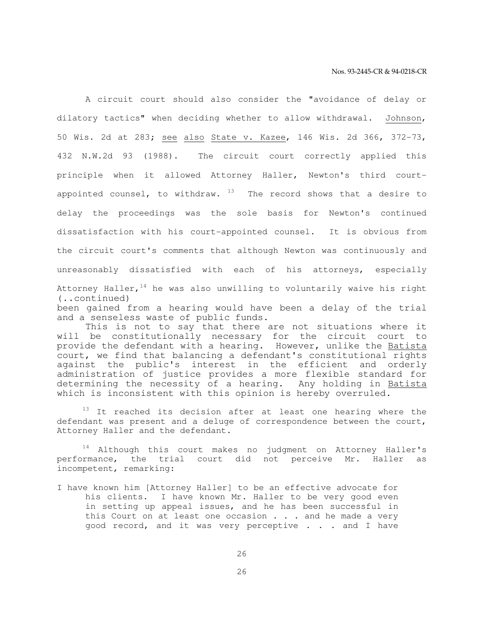A circuit court should also consider the "avoidance of delay or dilatory tactics" when deciding whether to allow withdrawal. Johnson, 50 Wis. 2d at 283; see also State v. Kazee, 146 Wis. 2d 366, 372-73, 432 N.W.2d 93 (1988). The circuit court correctly applied this principle when it allowed Attorney Haller, Newton's third courtappointed counsel, to withdraw.  $13$  The record shows that a desire to delay the proceedings was the sole basis for Newton's continued dissatisfaction with his court-appointed counsel. It is obvious from the circuit court's comments that although Newton was continuously and unreasonably dissatisfied with each of his attorneys, especially Attorney Haller,  $14$  he was also unwilling to voluntarily waive his right (..continued) been gained from a hearing would have been a delay of the trial and a senseless waste of public funds.

 This is not to say that there are not situations where it will be constitutionally necessary for the circuit court to provide the defendant with a hearing. However, unlike the Batista court, we find that balancing a defendant's constitutional rights against the public's interest in the efficient and orderly administration of justice provides a more flexible standard for determining the necessity of a hearing. Any holding in Batista which is inconsistent with this opinion is hereby overruled.

<sup>13</sup> It reached its decision after at least one hearing where the defendant was present and a deluge of correspondence between the court, Attorney Haller and the defendant.

<sup>14</sup> Although this court makes no judgment on Attorney Haller's performance, the trial court did not perceive Mr. Haller as incompetent, remarking:

I have known him [Attorney Haller] to be an effective advocate for his clients. I have known Mr. Haller to be very good even in setting up appeal issues, and he has been successful in this Court on at least one occasion . . . and he made a very good record, and it was very perceptive . . . and I have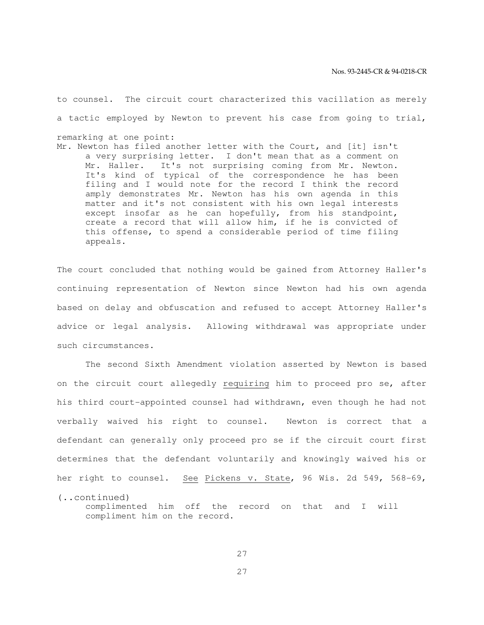to counsel. The circuit court characterized this vacillation as merely a tactic employed by Newton to prevent his case from going to trial, remarking at one point: Mr. Newton has filed another letter with the Court, and [it] isn't a very surprising letter. I don't mean that as a comment on Mr. Haller. It's not surprising coming from Mr. Newton. It's kind of typical of the correspondence he has been filing and I would note for the record I think the record amply demonstrates Mr. Newton has his own agenda in this matter and it's not consistent with his own legal interests except insofar as he can hopefully, from his standpoint, create a record that will allow him, if he is convicted of this offense, to spend a considerable period of time filing appeals.

The court concluded that nothing would be gained from Attorney Haller's continuing representation of Newton since Newton had his own agenda based on delay and obfuscation and refused to accept Attorney Haller's advice or legal analysis. Allowing withdrawal was appropriate under such circumstances.

 The second Sixth Amendment violation asserted by Newton is based on the circuit court allegedly requiring him to proceed pro se, after his third court-appointed counsel had withdrawn, even though he had not verbally waived his right to counsel. Newton is correct that a defendant can generally only proceed pro se if the circuit court first determines that the defendant voluntarily and knowingly waived his or her right to counsel. See Pickens v. State, 96 Wis. 2d 549, 568-69, (..continued)

complimented him off the record on that and I will compliment him on the record.

27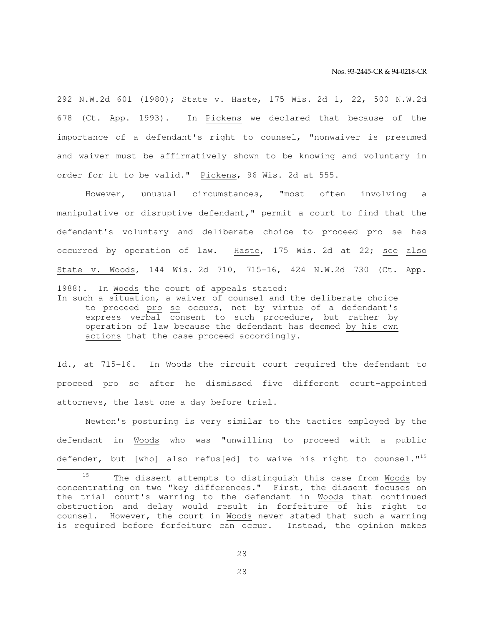292 N.W.2d 601 (1980); State v. Haste, 175 Wis. 2d 1, 22, 500 N.W.2d 678 (Ct. App. 1993). In Pickens we declared that because of the importance of a defendant's right to counsel, "nonwaiver is presumed and waiver must be affirmatively shown to be knowing and voluntary in order for it to be valid." Pickens, 96 Wis. 2d at 555.

 However, unusual circumstances, "most often involving a manipulative or disruptive defendant," permit a court to find that the defendant's voluntary and deliberate choice to proceed pro se has occurred by operation of law. Haste, 175 Wis. 2d at 22; see also State v. Woods, 144 Wis. 2d 710, 715-16, 424 N.W.2d 730 (Ct. App. 1988). In Woods the court of appeals stated: In such a situation, a waiver of counsel and the deliberate choice

to proceed pro se occurs, not by virtue of a defendant's express verbal consent to such procedure, but rather by operation of law because the defendant has deemed by his own actions that the case proceed accordingly.

Id., at 715-16. In Woods the circuit court required the defendant to proceed pro se after he dismissed five different court-appointed attorneys, the last one a day before trial.

 Newton's posturing is very similar to the tactics employed by the defendant in Woods who was "unwilling to proceed with a public defender, but [who] also refus[ed] to waive his right to counsel."<sup>15</sup>

e<br>S

28

The dissent attempts to distinguish this case from Woods by concentrating on two "key differences." First, the dissent focuses on the trial court's warning to the defendant in Woods that continued obstruction and delay would result in forfeiture of his right to counsel. However, the court in Woods never stated that such a warning is required before forfeiture can occur. Instead, the opinion makes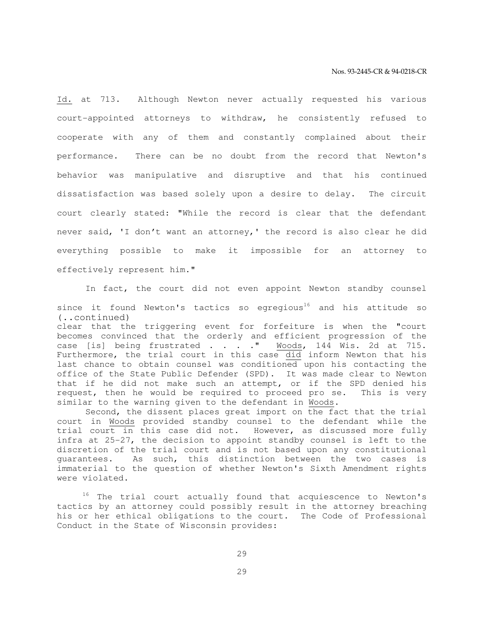Id. at 713. Although Newton never actually requested his various court-appointed attorneys to withdraw, he consistently refused to cooperate with any of them and constantly complained about their performance. There can be no doubt from the record that Newton's behavior was manipulative and disruptive and that his continued dissatisfaction was based solely upon a desire to delay. The circuit court clearly stated: "While the record is clear that the defendant never said, 'I don't want an attorney,' the record is also clear he did everything possible to make it impossible for an attorney to effectively represent him."

 In fact, the court did not even appoint Newton standby counsel since it found Newton's tactics so egregious<sup>16</sup> and his attitude so (..continued)

clear that the triggering event for forfeiture is when the "court becomes convinced that the orderly and efficient progression of the case [is] being frustrated . . . . "  $\frac{Woods}{N}$ , 144 Wis. 2d at 715. case [is] being frustrated . . . . " Furthermore, the trial court in this case did inform Newton that his last chance to obtain counsel was conditioned upon his contacting the office of the State Public Defender (SPD). It was made clear to Newton that if he did not make such an attempt, or if the SPD denied his request, then he would be required to proceed pro se. This is very similar to the warning given to the defendant in Woods.

 Second, the dissent places great import on the fact that the trial court in Woods provided standby counsel to the defendant while the trial court in this case did not. However, as discussed more fully infra at 25-27, the decision to appoint standby counsel is left to the discretion of the trial court and is not based upon any constitutional guarantees. As such, this distinction between the two cases is immaterial to the question of whether Newton's Sixth Amendment rights were violated.

<sup>16</sup> The trial court actually found that acquiescence to Newton's tactics by an attorney could possibly result in the attorney breaching his or her ethical obligations to the court. The Code of Professional Conduct in the State of Wisconsin provides: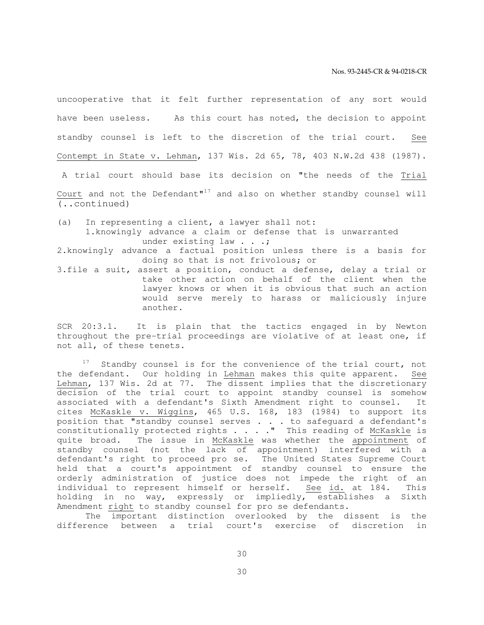uncooperative that it felt further representation of any sort would have been useless. As this court has noted, the decision to appoint standby counsel is left to the discretion of the trial court. See Contempt in State v. Lehman, 137 Wis. 2d 65, 78, 403 N.W.2d 438 (1987).

 A trial court should base its decision on "the needs of the Trial Court and not the Defendant" $17$  and also on whether standby counsel will (..continued)

(a) In representing a client, a lawyer shall not: 1.knowingly advance a claim or defense that is unwarranted under existing law . . .;

2.knowingly advance a factual position unless there is a basis for doing so that is not frivolous; or

3.file a suit, assert a position, conduct a defense, delay a trial or take other action on behalf of the client when the lawyer knows or when it is obvious that such an action would serve merely to harass or maliciously injure another.

SCR 20:3.1. It is plain that the tactics engaged in by Newton throughout the pre-trial proceedings are violative of at least one, if not all, of these tenets.

Standby counsel is for the convenience of the trial court, not the defendant. Our holding in Lehman makes this quite apparent. See Lehman, 137 Wis. 2d at 77. The dissent implies that the discretionary decision of the trial court to appoint standby counsel is somehow associated with a defendant's Sixth Amendment right to counsel. It cites McKaskle v. Wiggins, 465 U.S. 168, 183 (1984) to support its position that "standby counsel serves . . . to safeguard a defendant's constitutionally protected rights . . . . " This reading of McKaskle is quite broad. The issue in McKaskle was whether the appointment of standby counsel (not the lack of appointment) interfered with a defendant's right to proceed pro se. The United States Supreme Court held that a court's appointment of standby counsel to ensure the orderly administration of justice does not impede the right of an individual to represent himself or herself. See id. at 184. This holding in no way, expressly or impliedly, establishes a Sixth Amendment right to standby counsel for pro se defendants.

 The important distinction overlooked by the dissent is the difference between a trial court's exercise of discretion in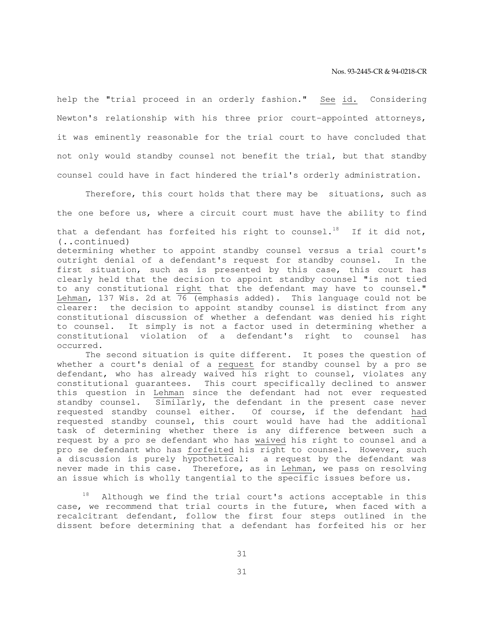help the "trial proceed in an orderly fashion." See id. Considering Newton's relationship with his three prior court-appointed attorneys, it was eminently reasonable for the trial court to have concluded that not only would standby counsel not benefit the trial, but that standby counsel could have in fact hindered the trial's orderly administration.

 Therefore, this court holds that there may be situations, such as the one before us, where a circuit court must have the ability to find

that a defendant has forfeited his right to counsel.<sup>18</sup> If it did not, (..continued)

determining whether to appoint standby counsel versus a trial court's outright denial of a defendant's request for standby counsel. In the first situation, such as is presented by this case, this court has clearly held that the decision to appoint standby counsel "is not tied to any constitutional right that the defendant may have to counsel." Lehman, 137 Wis. 2d at 76 (emphasis added). This language could not be clearer: the decision to appoint standby counsel is distinct from any constitutional discussion of whether a defendant was denied his right to counsel. It simply is not a factor used in determining whether a constitutional violation of a defendant's right to counsel has occurred.

 The second situation is quite different. It poses the question of whether a court's denial of a request for standby counsel by a pro se defendant, who has already waived his right to counsel, violates any constitutional guarantees. This court specifically declined to answer this question in Lehman since the defendant had not ever requested standby counsel. Similarly, the defendant in the present case never requested standby counsel either. Of course, if the defendant had requested standby counsel, this court would have had the additional task of determining whether there is any difference between such a request by a pro se defendant who has waived his right to counsel and a pro se defendant who has forfeited his right to counsel. However, such a discussion is purely hypothetical: a request by the defendant was never made in this case. Therefore, as in Lehman, we pass on resolving an issue which is wholly tangential to the specific issues before us.

Although we find the trial court's actions acceptable in this case, we recommend that trial courts in the future, when faced with a recalcitrant defendant, follow the first four steps outlined in the dissent before determining that a defendant has forfeited his or her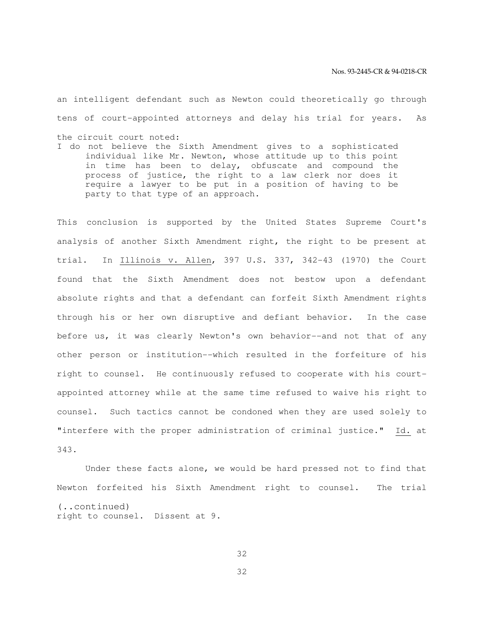an intelligent defendant such as Newton could theoretically go through tens of court-appointed attorneys and delay his trial for years. As the circuit court noted: I do not believe the Sixth Amendment gives to a sophisticated

individual like Mr. Newton, whose attitude up to this point in time has been to delay, obfuscate and compound the process of justice, the right to a law clerk nor does it require a lawyer to be put in a position of having to be party to that type of an approach.

This conclusion is supported by the United States Supreme Court's analysis of another Sixth Amendment right, the right to be present at trial. In Illinois v. Allen, 397 U.S. 337, 342-43 (1970) the Court found that the Sixth Amendment does not bestow upon a defendant absolute rights and that a defendant can forfeit Sixth Amendment rights through his or her own disruptive and defiant behavior. In the case before us, it was clearly Newton's own behavior--and not that of any other person or institution--which resulted in the forfeiture of his right to counsel. He continuously refused to cooperate with his courtappointed attorney while at the same time refused to waive his right to counsel. Such tactics cannot be condoned when they are used solely to "interfere with the proper administration of criminal justice." Id. at 343.

 Under these facts alone, we would be hard pressed not to find that Newton forfeited his Sixth Amendment right to counsel. The trial (..continued) right to counsel. Dissent at 9.

32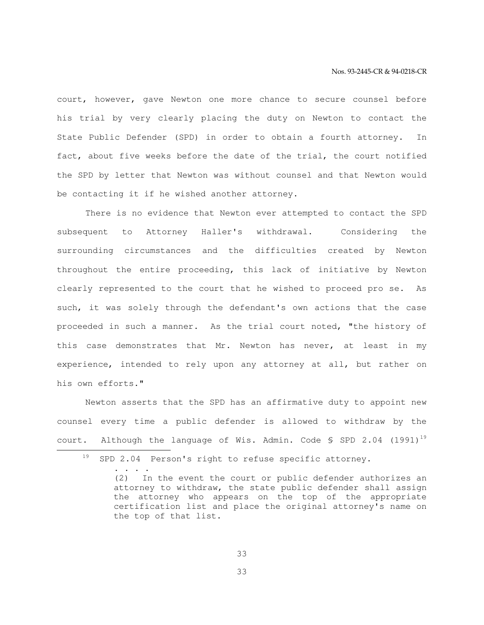court, however, gave Newton one more chance to secure counsel before his trial by very clearly placing the duty on Newton to contact the State Public Defender (SPD) in order to obtain a fourth attorney. In fact, about five weeks before the date of the trial, the court notified the SPD by letter that Newton was without counsel and that Newton would be contacting it if he wished another attorney.

 There is no evidence that Newton ever attempted to contact the SPD subsequent to Attorney Haller's withdrawal. Considering the surrounding circumstances and the difficulties created by Newton throughout the entire proceeding, this lack of initiative by Newton clearly represented to the court that he wished to proceed pro se. As such, it was solely through the defendant's own actions that the case proceeded in such a manner. As the trial court noted, "the history of this case demonstrates that Mr. Newton has never, at least in my experience, intended to rely upon any attorney at all, but rather on his own efforts."

 Newton asserts that the SPD has an affirmative duty to appoint new counsel every time a public defender is allowed to withdraw by the court. Although the language of Wis. Admin. Code  $\frac{1}{5}$  SPD 2.04 (1991)<sup>19</sup> e<br>S

<sup>19</sup> SPD 2.04 Person's right to refuse specific attorney.

 <sup>. . . .</sup>  (2) In the event the court or public defender authorizes an attorney to withdraw, the state public defender shall assign the attorney who appears on the top of the appropriate certification list and place the original attorney's name on the top of that list.

<sup>33</sup>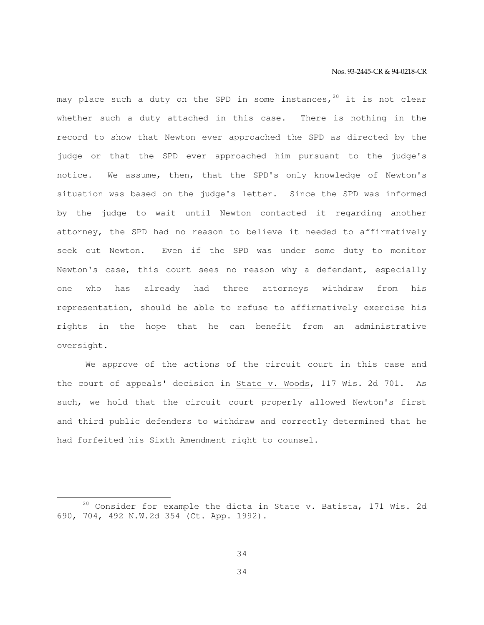may place such a duty on the SPD in some instances,  $20$  it is not clear whether such a duty attached in this case. There is nothing in the record to show that Newton ever approached the SPD as directed by the judge or that the SPD ever approached him pursuant to the judge's notice. We assume, then, that the SPD's only knowledge of Newton's situation was based on the judge's letter. Since the SPD was informed by the judge to wait until Newton contacted it regarding another attorney, the SPD had no reason to believe it needed to affirmatively seek out Newton. Even if the SPD was under some duty to monitor Newton's case, this court sees no reason why a defendant, especially one who has already had three attorneys withdraw from his representation, should be able to refuse to affirmatively exercise his rights in the hope that he can benefit from an administrative oversight.

 We approve of the actions of the circuit court in this case and the court of appeals' decision in State v. Woods, 117 Wis. 2d 701. As such, we hold that the circuit court properly allowed Newton's first and third public defenders to withdraw and correctly determined that he had forfeited his Sixth Amendment right to counsel.

e<br>S

 $20$  Consider for example the dicta in State v. Batista, 171 Wis. 2d 690, 704, 492 N.W.2d 354 (Ct. App. 1992).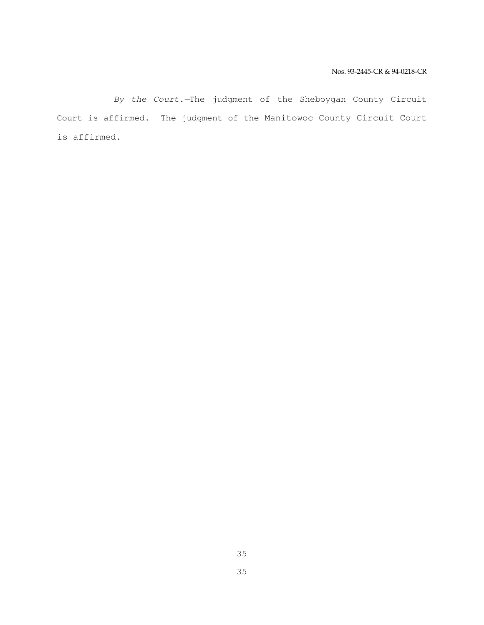By the Court.—The judgment of the Sheboygan County Circuit Court is affirmed. The judgment of the Manitowoc County Circuit Court is affirmed.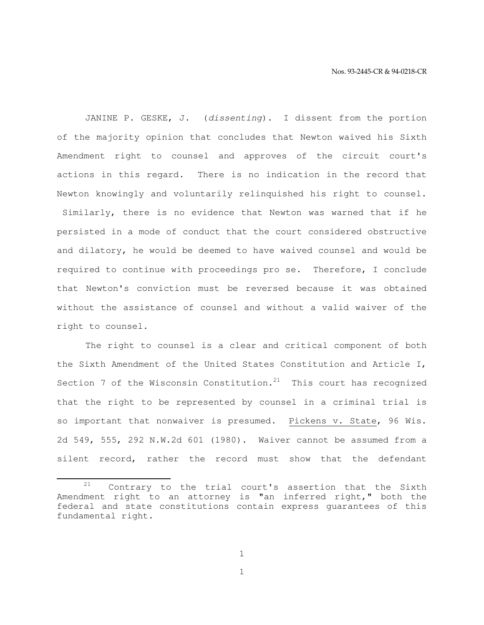JANINE P. GESKE, J. (dissenting). I dissent from the portion of the majority opinion that concludes that Newton waived his Sixth Amendment right to counsel and approves of the circuit court's actions in this regard. There is no indication in the record that Newton knowingly and voluntarily relinquished his right to counsel. Similarly, there is no evidence that Newton was warned that if he persisted in a mode of conduct that the court considered obstructive and dilatory, he would be deemed to have waived counsel and would be required to continue with proceedings pro se. Therefore, I conclude that Newton's conviction must be reversed because it was obtained without the assistance of counsel and without a valid waiver of the right to counsel.

 The right to counsel is a clear and critical component of both the Sixth Amendment of the United States Constitution and Article I, Section 7 of the Wisconsin Constitution. $^{21}$  This court has recognized that the right to be represented by counsel in a criminal trial is so important that nonwaiver is presumed. Pickens v. State, 96 Wis. 2d 549, 555, 292 N.W.2d 601 (1980). Waiver cannot be assumed from a silent record, rather the record must show that the defendant

1

e<br>S  $21$  Contrary to the trial court's assertion that the Sixth Amendment right to an attorney is "an inferred right," both the federal and state constitutions contain express guarantees of this fundamental right.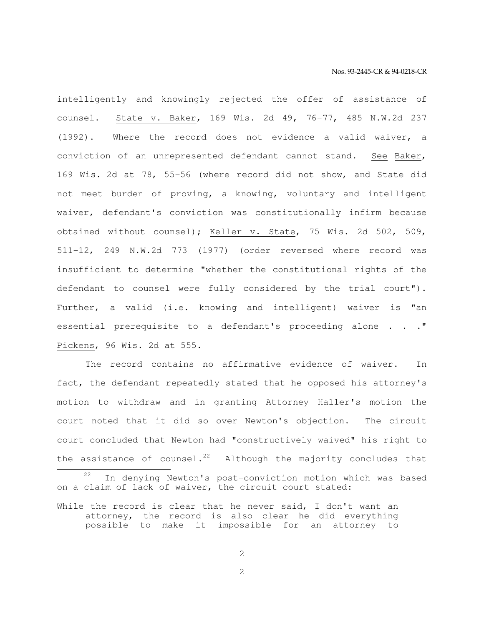intelligently and knowingly rejected the offer of assistance of counsel. State v. Baker, 169 Wis. 2d 49, 76-77, 485 N.W.2d 237 (1992). Where the record does not evidence a valid waiver, a conviction of an unrepresented defendant cannot stand. See Baker, 169 Wis. 2d at 78, 55-56 (where record did not show, and State did not meet burden of proving, a knowing, voluntary and intelligent waiver, defendant's conviction was constitutionally infirm because obtained without counsel); Keller v. State, 75 Wis. 2d 502, 509, 511-12, 249 N.W.2d 773 (1977) (order reversed where record was insufficient to determine "whether the constitutional rights of the defendant to counsel were fully considered by the trial court"). Further, a valid (i.e. knowing and intelligent) waiver is "an essential prerequisite to a defendant's proceeding alone . . . " Pickens, 96 Wis. 2d at 555.

 The record contains no affirmative evidence of waiver. In fact, the defendant repeatedly stated that he opposed his attorney's motion to withdraw and in granting Attorney Haller's motion the court noted that it did so over Newton's objection. The circuit court concluded that Newton had "constructively waived" his right to the assistance of counsel.<sup>22</sup> Although the majority concludes that

e<br>S

2

In denying Newton's post-conviction motion which was based on a claim of lack of waiver, the circuit court stated:

While the record is clear that he never said, I don't want an attorney, the record is also clear he did everything possible to make it impossible for an attorney to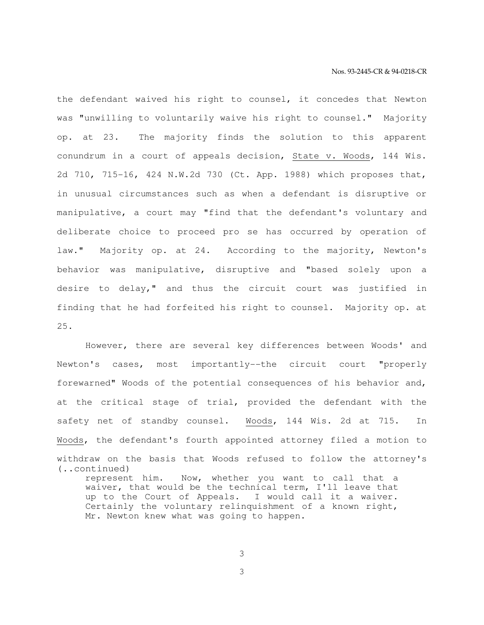the defendant waived his right to counsel, it concedes that Newton was "unwilling to voluntarily waive his right to counsel." Majority op. at 23. The majority finds the solution to this apparent conundrum in a court of appeals decision, State v. Woods, 144 Wis. 2d 710, 715-16, 424 N.W.2d 730 (Ct. App. 1988) which proposes that, in unusual circumstances such as when a defendant is disruptive or manipulative, a court may "find that the defendant's voluntary and deliberate choice to proceed pro se has occurred by operation of law." Majority op. at 24. According to the majority, Newton's behavior was manipulative, disruptive and "based solely upon a desire to delay," and thus the circuit court was justified in finding that he had forfeited his right to counsel. Majority op. at 25.

 However, there are several key differences between Woods' and Newton's cases, most importantly--the circuit court "properly forewarned" Woods of the potential consequences of his behavior and, at the critical stage of trial, provided the defendant with the safety net of standby counsel. Woods, 144 Wis. 2d at 715. In Woods, the defendant's fourth appointed attorney filed a motion to withdraw on the basis that Woods refused to follow the attorney's (..continued) represent him. Now, whether you want to call that a waiver, that would be the technical term, I'll leave that up to the Court of Appeals. I would call it a waiver. Certainly the voluntary relinquishment of a known right, Mr. Newton knew what was going to happen.

3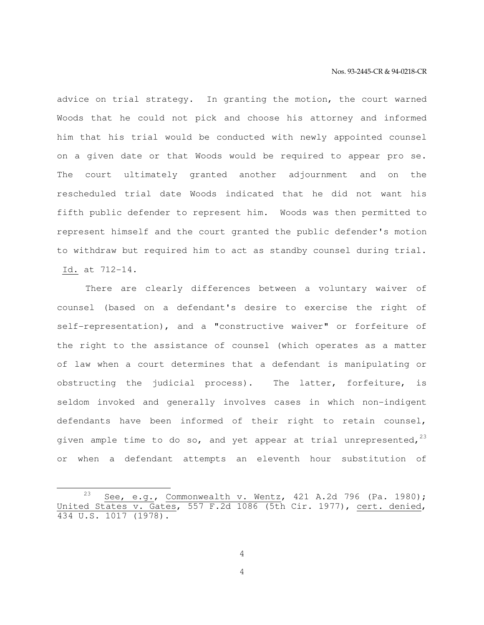advice on trial strategy. In granting the motion, the court warned Woods that he could not pick and choose his attorney and informed him that his trial would be conducted with newly appointed counsel on a given date or that Woods would be required to appear pro se. The court ultimately granted another adjournment and on the rescheduled trial date Woods indicated that he did not want his fifth public defender to represent him. Woods was then permitted to represent himself and the court granted the public defender's motion to withdraw but required him to act as standby counsel during trial. Id. at 712-14.

 There are clearly differences between a voluntary waiver of counsel (based on a defendant's desire to exercise the right of self-representation), and a "constructive waiver" or forfeiture of the right to the assistance of counsel (which operates as a matter of law when a court determines that a defendant is manipulating or obstructing the judicial process). The latter, forfeiture, is seldom invoked and generally involves cases in which non-indigent defendants have been informed of their right to retain counsel, given ample time to do so, and yet appear at trial unrepresented,  $2^3$ or when a defendant attempts an eleventh hour substitution of

e<br>S

4

<sup>&</sup>lt;sup>23</sup> See, e.g., Commonwealth v. Wentz, 421 A.2d 796 (Pa. 1980); United States v. Gates, 557 F.2d 1086 (5th Cir. 1977), cert. denied, 434 U.S. 1017 (1978).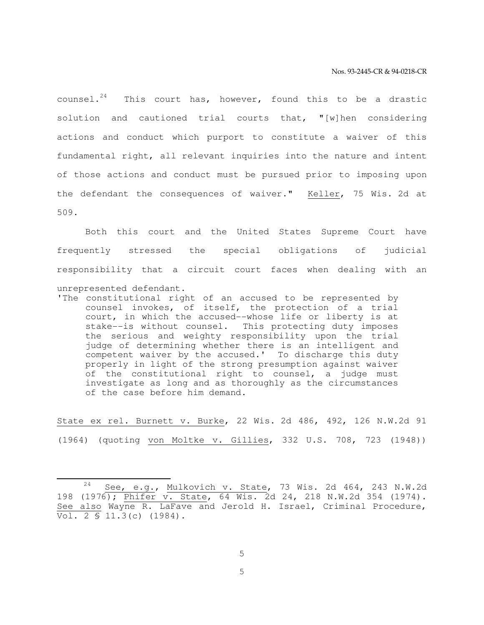counsel.<sup>24</sup> This court has, however, found this to be a drastic solution and cautioned trial courts that, "[w]hen considering actions and conduct which purport to constitute a waiver of this fundamental right, all relevant inquiries into the nature and intent of those actions and conduct must be pursued prior to imposing upon the defendant the consequences of waiver." Keller, 75 Wis. 2d at 509.

 Both this court and the United States Supreme Court have frequently stressed the special obligations of judicial responsibility that a circuit court faces when dealing with an unrepresented defendant.

'The constitutional right of an accused to be represented by counsel invokes, of itself, the protection of a trial court, in which the accused--whose life or liberty is at stake--is without counsel. This protecting duty imposes the serious and weighty responsibility upon the trial judge of determining whether there is an intelligent and competent waiver by the accused.' To discharge this duty properly in light of the strong presumption against waiver of the constitutional right to counsel, a judge must investigate as long and as thoroughly as the circumstances of the case before him demand.

State ex rel. Burnett v. Burke, 22 Wis. 2d 486, 492, 126 N.W.2d 91 (1964) (quoting von Moltke v. Gillies, 332 U.S. 708, 723 (1948))

5

 $24$  See, e.g., Mulkovich v. State, 73 Wis. 2d 464, 243 N.W.2d 198 (1976); Phifer v. State, 64 Wis. 2d 24, 218 N.W.2d 354 (1974). See also Wayne R. LaFave and Jerold H. Israel, Criminal Procedure, Vol. 2 § 11.3(c) (1984).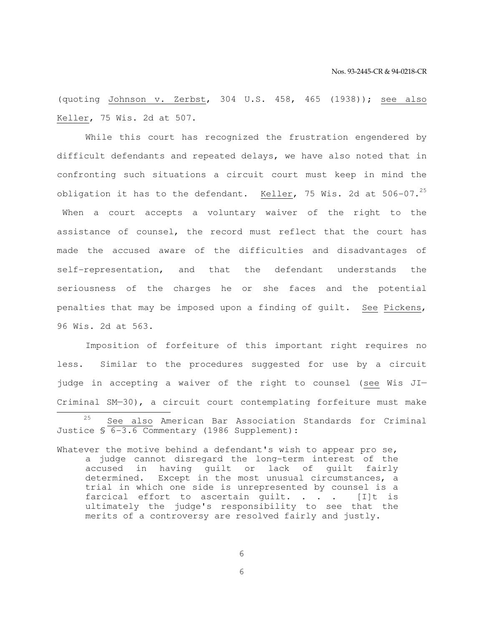(quoting Johnson v. Zerbst, 304 U.S. 458, 465 (1938)); see also Keller, 75 Wis. 2d at 507.

 While this court has recognized the frustration engendered by difficult defendants and repeated delays, we have also noted that in confronting such situations a circuit court must keep in mind the obligation it has to the defendant. Keller, 75 Wis. 2d at  $506-07.^{25}$  When a court accepts a voluntary waiver of the right to the assistance of counsel, the record must reflect that the court has made the accused aware of the difficulties and disadvantages of self-representation, and that the defendant understands the seriousness of the charges he or she faces and the potential penalties that may be imposed upon a finding of guilt. See Pickens, 96 Wis. 2d at 563.

 Imposition of forfeiture of this important right requires no less. Similar to the procedures suggested for use by a circuit judge in accepting a waiver of the right to counsel (see Wis JI— Criminal SM—30), a circuit court contemplating forfeiture must make 

6

<sup>25</sup> See also American Bar Association Standards for Criminal Justice § 6-3.6 Commentary (1986 Supplement):

Whatever the motive behind a defendant's wish to appear pro se, a judge cannot disregard the long-term interest of the accused in having guilt or lack of guilt fairly determined. Except in the most unusual circumstances, a trial in which one side is unrepresented by counsel is a farcical effort to ascertain quilt. . . .  $[1]t$  is ultimately the judge's responsibility to see that the merits of a controversy are resolved fairly and justly.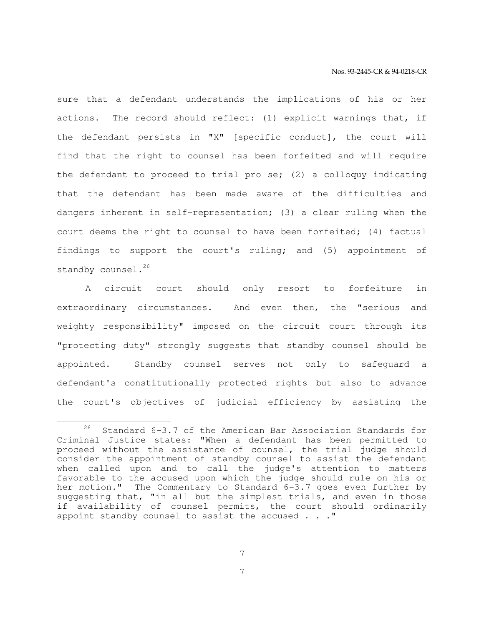sure that a defendant understands the implications of his or her actions. The record should reflect: (1) explicit warnings that, if the defendant persists in "X" [specific conduct], the court will find that the right to counsel has been forfeited and will require the defendant to proceed to trial pro se; (2) a colloquy indicating that the defendant has been made aware of the difficulties and dangers inherent in self-representation; (3) a clear ruling when the court deems the right to counsel to have been forfeited; (4) factual findings to support the court's ruling; and (5) appointment of standby counsel.<sup>26</sup>

 A circuit court should only resort to forfeiture in extraordinary circumstances. And even then, the "serious and weighty responsibility" imposed on the circuit court through its "protecting duty" strongly suggests that standby counsel should be appointed. Standby counsel serves not only to safeguard a defendant's constitutionally protected rights but also to advance the court's objectives of judicial efficiency by assisting the

7

<sup>26</sup> Standard 6-3.7 of the American Bar Association Standards for Criminal Justice states: "When a defendant has been permitted to proceed without the assistance of counsel, the trial judge should consider the appointment of standby counsel to assist the defendant when called upon and to call the judge's attention to matters favorable to the accused upon which the judge should rule on his or her motion." The Commentary to Standard 6-3.7 goes even further by suggesting that, "in all but the simplest trials, and even in those if availability of counsel permits, the court should ordinarily appoint standby counsel to assist the accused . . ."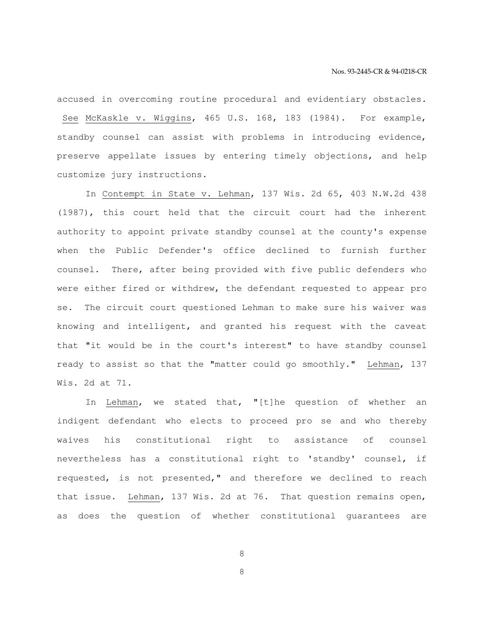accused in overcoming routine procedural and evidentiary obstacles. See McKaskle v. Wiggins, 465 U.S. 168, 183 (1984). For example, standby counsel can assist with problems in introducing evidence, preserve appellate issues by entering timely objections, and help customize jury instructions.

 In Contempt in State v. Lehman, 137 Wis. 2d 65, 403 N.W.2d 438 (1987), this court held that the circuit court had the inherent authority to appoint private standby counsel at the county's expense when the Public Defender's office declined to furnish further counsel. There, after being provided with five public defenders who were either fired or withdrew, the defendant requested to appear pro se. The circuit court questioned Lehman to make sure his waiver was knowing and intelligent, and granted his request with the caveat that "it would be in the court's interest" to have standby counsel ready to assist so that the "matter could go smoothly." Lehman, 137 Wis. 2d at 71.

In Lehman, we stated that, "[t]he question of whether an indigent defendant who elects to proceed pro se and who thereby waives his constitutional right to assistance of counsel nevertheless has a constitutional right to 'standby' counsel, if requested, is not presented," and therefore we declined to reach that issue. Lehman, 137 Wis. 2d at 76. That question remains open, as does the question of whether constitutional guarantees are

8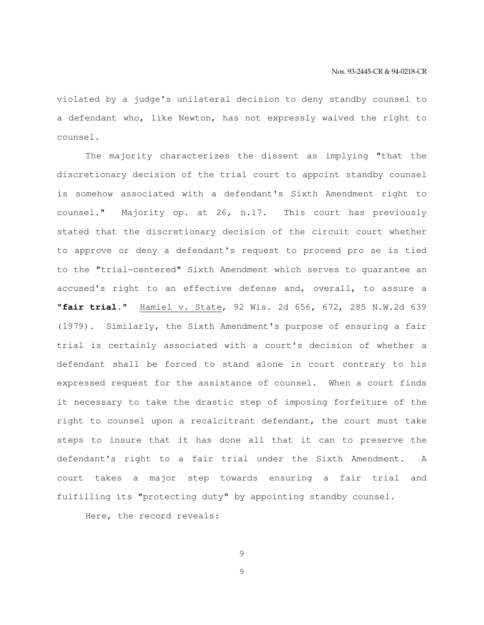violated by a judge's unilateral decision to deny standby counsel to a defendant who, like Newton, has not expressly waived the right to counsel.

 The majority characterizes the dissent as implying "that the discretionary decision of the trial court to appoint standby counsel is somehow associated with a defendant's Sixth Amendment right to counsel." Majority op. at 26, n.17. This court has previously stated that the discretionary decision of the circuit court whether to approve or deny a defendant's request to proceed pro se is tied to the "trial-centered" Sixth Amendment which serves to guarantee an accused's right to an effective defense and, overall, to assure a "**fair trial**." Hamiel v. State, 92 Wis. 2d 656, 672, 285 N.W.2d 639 (1979). Similarly, the Sixth Amendment's purpose of ensuring a fair trial is certainly associated with a court's decision of whether a defendant shall be forced to stand alone in court contrary to his expressed request for the assistance of counsel. When a court finds it necessary to take the drastic step of imposing forfeiture of the right to counsel upon a recalcitrant defendant, the court must take steps to insure that it has done all that it can to preserve the defendant's right to a fair trial under the Sixth Amendment. A court takes a major step towards ensuring a fair trial and fulfilling its "protecting duty" by appointing standby counsel.

Here, the record reveals:

9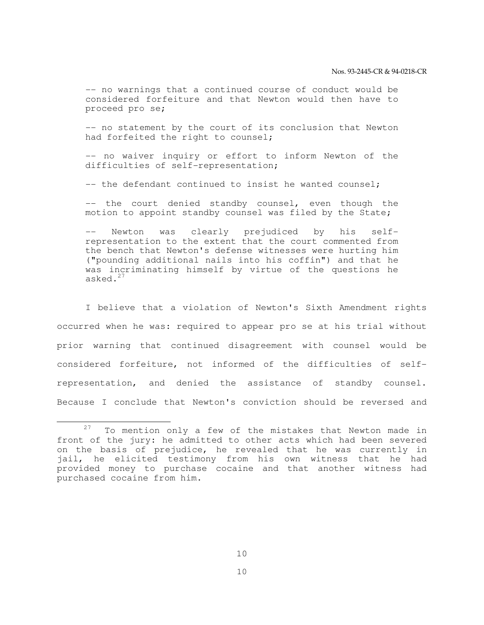-- no warnings that a continued course of conduct would be considered forfeiture and that Newton would then have to proceed pro se;

 -- no statement by the court of its conclusion that Newton had forfeited the right to counsel;

 -- no waiver inquiry or effort to inform Newton of the difficulties of self-representation;

-- the defendant continued to insist he wanted counsel;

-- the court denied standby counsel, even though the motion to appoint standby counsel was filed by the State;

Newton was clearly prejudiced by his selfrepresentation to the extent that the court commented from the bench that Newton's defense witnesses were hurting him ("pounding additional nails into his coffin") and that he was incriminating himself by virtue of the questions he asked.<sup>27</sup>

 I believe that a violation of Newton's Sixth Amendment rights occurred when he was: required to appear pro se at his trial without prior warning that continued disagreement with counsel would be considered forfeiture, not informed of the difficulties of selfrepresentation, and denied the assistance of standby counsel. Because I conclude that Newton's conviction should be reversed and

 $27$  To mention only a few of the mistakes that Newton made in front of the jury: he admitted to other acts which had been severed on the basis of prejudice, he revealed that he was currently in jail, he elicited testimony from his own witness that he had provided money to purchase cocaine and that another witness had purchased cocaine from him.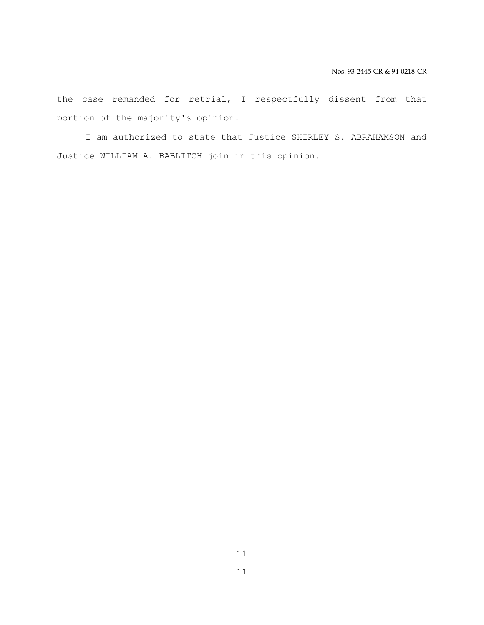the case remanded for retrial, I respectfully dissent from that portion of the majority's opinion.

 I am authorized to state that Justice SHIRLEY S. ABRAHAMSON and Justice WILLIAM A. BABLITCH join in this opinion.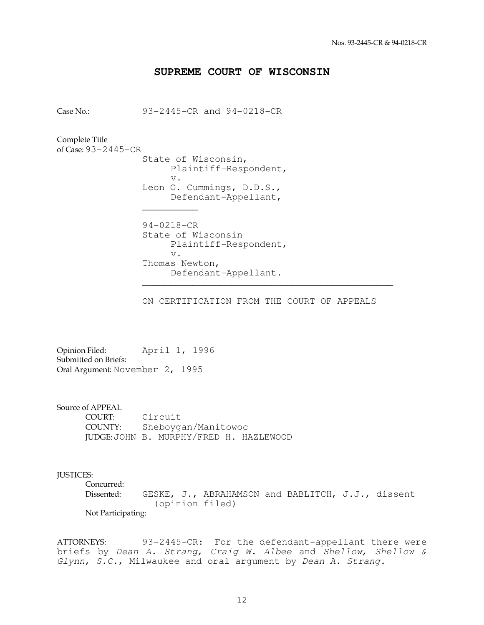## **SUPREME COURT OF WISCONSIN**

Case No.: 93-2445-CR and 94-0218-CR

Complete Title of Case: 93-2445-CR

 State of Wisconsin, Plaintiff-Respondent, v. Leon O. Cummings, D.D.S., Defendant-Appellant,  $\mathcal{L}_\text{max}$  and  $\mathcal{L}_\text{max}$  and  $\mathcal{L}_\text{max}$  and  $\mathcal{L}_\text{max}$ 

 94-0218-CR State of Wisconsin Plaintiff-Respondent, v. Thomas Newton, Defendant-Appellant.

 $\overline{\phantom{a}}$  ,  $\overline{\phantom{a}}$  ,  $\overline{\phantom{a}}$  ,  $\overline{\phantom{a}}$  ,  $\overline{\phantom{a}}$  ,  $\overline{\phantom{a}}$  ,  $\overline{\phantom{a}}$  ,  $\overline{\phantom{a}}$  ,  $\overline{\phantom{a}}$  ,  $\overline{\phantom{a}}$  ,  $\overline{\phantom{a}}$  ,  $\overline{\phantom{a}}$  ,  $\overline{\phantom{a}}$  ,  $\overline{\phantom{a}}$  ,  $\overline{\phantom{a}}$  ,  $\overline{\phantom{a}}$ 

ON CERTIFICATION FROM THE COURT OF APPEALS

Opinion Filed: April 1, 1996 Submitted on Briefs: Oral Argument: November 2, 1995

Source of APPEAL

 COURT: Circuit COUNTY: Sheboygan/Manitowoc JUDGE: JOHN B. MURPHY/FRED H. HAZLEWOOD

## JUSTICES:

 Concurred: Dissented: GESKE, J., ABRAHAMSON and BABLITCH, J.J., dissent (opinion filed) Not Participating:

ATTORNEYS: 93-2445-CR: For the defendant-appellant there were briefs by Dean A. Strang, Craig W. Albee and Shellow, Shellow & Glynn, S.C., Milwaukee and oral argument by Dean A. Strang.